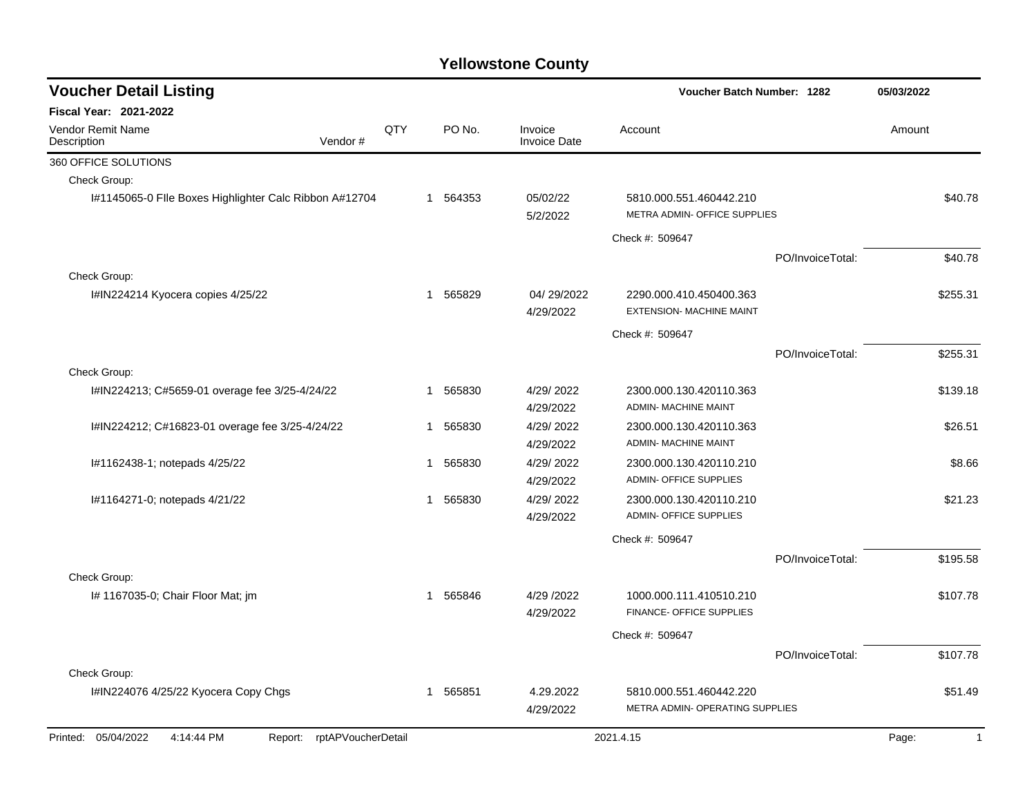| <b>Voucher Detail Listing</b>                                   |     |   |        |                                | Voucher Batch Number: 1282                                 |                  | 05/03/2022              |
|-----------------------------------------------------------------|-----|---|--------|--------------------------------|------------------------------------------------------------|------------------|-------------------------|
| <b>Fiscal Year: 2021-2022</b>                                   |     |   |        |                                |                                                            |                  |                         |
| Vendor Remit Name<br>Vendor#<br>Description                     | QTY |   | PO No. | Invoice<br><b>Invoice Date</b> | Account                                                    |                  | Amount                  |
| 360 OFFICE SOLUTIONS                                            |     |   |        |                                |                                                            |                  |                         |
| Check Group:                                                    |     |   |        |                                |                                                            |                  |                         |
| I#1145065-0 Flle Boxes Highlighter Calc Ribbon A#12704          |     | 1 | 564353 | 05/02/22<br>5/2/2022           | 5810.000.551.460442.210<br>METRA ADMIN- OFFICE SUPPLIES    |                  | \$40.78                 |
|                                                                 |     |   |        |                                | Check #: 509647                                            |                  |                         |
|                                                                 |     |   |        |                                |                                                            | PO/InvoiceTotal: | \$40.78                 |
| Check Group:                                                    |     |   |        |                                |                                                            |                  |                         |
| I#IN224214 Kyocera copies 4/25/22                               |     | 1 | 565829 | 04/29/2022<br>4/29/2022        | 2290.000.410.450400.363<br><b>EXTENSION- MACHINE MAINT</b> |                  | \$255.31                |
|                                                                 |     |   |        |                                | Check #: 509647                                            |                  |                         |
|                                                                 |     |   |        |                                |                                                            | PO/InvoiceTotal: | \$255.31                |
| Check Group:                                                    |     |   |        |                                |                                                            |                  |                         |
| I#IN224213; C#5659-01 overage fee 3/25-4/24/22                  |     | 1 | 565830 | 4/29/2022<br>4/29/2022         | 2300.000.130.420110.363<br><b>ADMIN- MACHINE MAINT</b>     |                  | \$139.18                |
| I#IN224212; C#16823-01 overage fee 3/25-4/24/22                 |     | 1 | 565830 | 4/29/2022                      | 2300.000.130.420110.363                                    |                  | \$26.51                 |
|                                                                 |     |   |        | 4/29/2022                      | ADMIN- MACHINE MAINT                                       |                  |                         |
| I#1162438-1; notepads 4/25/22                                   |     | 1 | 565830 | 4/29/2022                      | 2300.000.130.420110.210                                    |                  | \$8.66                  |
|                                                                 |     |   |        | 4/29/2022                      | <b>ADMIN- OFFICE SUPPLIES</b>                              |                  |                         |
| I#1164271-0; notepads 4/21/22                                   |     | 1 | 565830 | 4/29/2022                      | 2300.000.130.420110.210                                    |                  | \$21.23                 |
|                                                                 |     |   |        | 4/29/2022                      | <b>ADMIN- OFFICE SUPPLIES</b>                              |                  |                         |
|                                                                 |     |   |        |                                | Check #: 509647                                            |                  |                         |
|                                                                 |     |   |        |                                |                                                            | PO/InvoiceTotal: | \$195.58                |
| Check Group:                                                    |     |   |        |                                |                                                            |                  |                         |
| I# 1167035-0; Chair Floor Mat; jm                               |     | 1 | 565846 | 4/29 /2022                     | 1000.000.111.410510.210                                    |                  | \$107.78                |
|                                                                 |     |   |        | 4/29/2022                      | FINANCE- OFFICE SUPPLIES                                   |                  |                         |
|                                                                 |     |   |        |                                | Check #: 509647                                            |                  |                         |
|                                                                 |     |   |        |                                |                                                            | PO/InvoiceTotal: | \$107.78                |
| Check Group:                                                    |     |   |        |                                |                                                            |                  |                         |
| I#IN224076 4/25/22 Kyocera Copy Chgs                            |     | 1 | 565851 | 4.29.2022                      | 5810.000.551.460442.220                                    |                  | \$51.49                 |
|                                                                 |     |   |        | 4/29/2022                      | METRA ADMIN- OPERATING SUPPLIES                            |                  |                         |
| Printed: 05/04/2022<br>4:14:44 PM<br>Report: rptAPVoucherDetail |     |   |        |                                | 2021.4.15                                                  |                  | $\overline{1}$<br>Page: |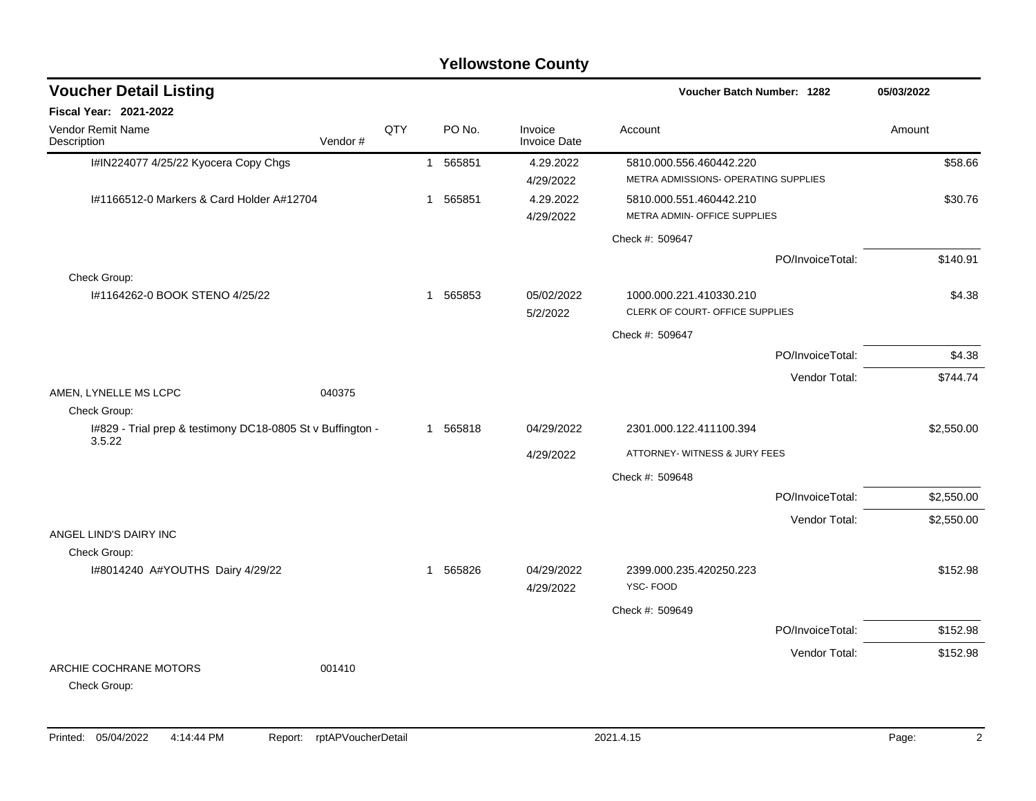## I#IN224077 4/25/22 Kyocera Copy Chgs 1 565851 4.29.2022 5810.000.556.460442.220 \$58.66 4/29/2022 METRA ADMISSIONS- OPERATING SUPPLIES I#1166512-0 Markers & Card Holder A#12704 1 565851 4.29.2022 5810.000.551.460442.210 \$30.76 4/29/2022 METRA ADMIN- OFFICE SUPPLIES Check #: 509647 PO/InvoiceTotal: \$140.91 Check Group: I#1164262-0 BOOK STENO 4/25/22 1 565853 05/02/2022 1000.000.221.410330.210 \$4.38 5/2/2022 CLERK OF COURT- OFFICE SUPPLIES Check #: 509647 PO/InvoiceTotal: \$4.38 Vendor Total: \$744.74 AMEN, LYNELLE MS LCPC 040375 Check Group: I#829 - Trial prep & testimony DC18-0805 St v Buffington - 3.5.22 1 565818 04/29/2022 2301.000.122.411100.394 \$2,550.00 4/29/2022 ATTORNEY- WITNESS & JURY FEES Check #: 509648 PO/InvoiceTotal: \$2,550.00 Vendor Total: \$2,550.00 ANGEL LIND'S DAIRY INC Check Group: I#8014240 A#YOUTHS Dairy 4/29/22 1 565826 04/29/2022 2399.000.235.420250.223 \$152.98 4/29/2022 YSC- FOOD Check #: 509649 PO/InvoiceTotal: \$152.98 Vendor Total: \$152.98 ARCHIE COCHRANE MOTORS 001410 Check Group: **Voucher Batch Number: Yellowstone County** Vendor Remit Name **Description Voucher Detail Listing Fiscal Year: 2021-2022 1282 05/03/2022** PO No. Invoice Account Amount Amount Amount Amount Vendor # **QTY** Invoice Date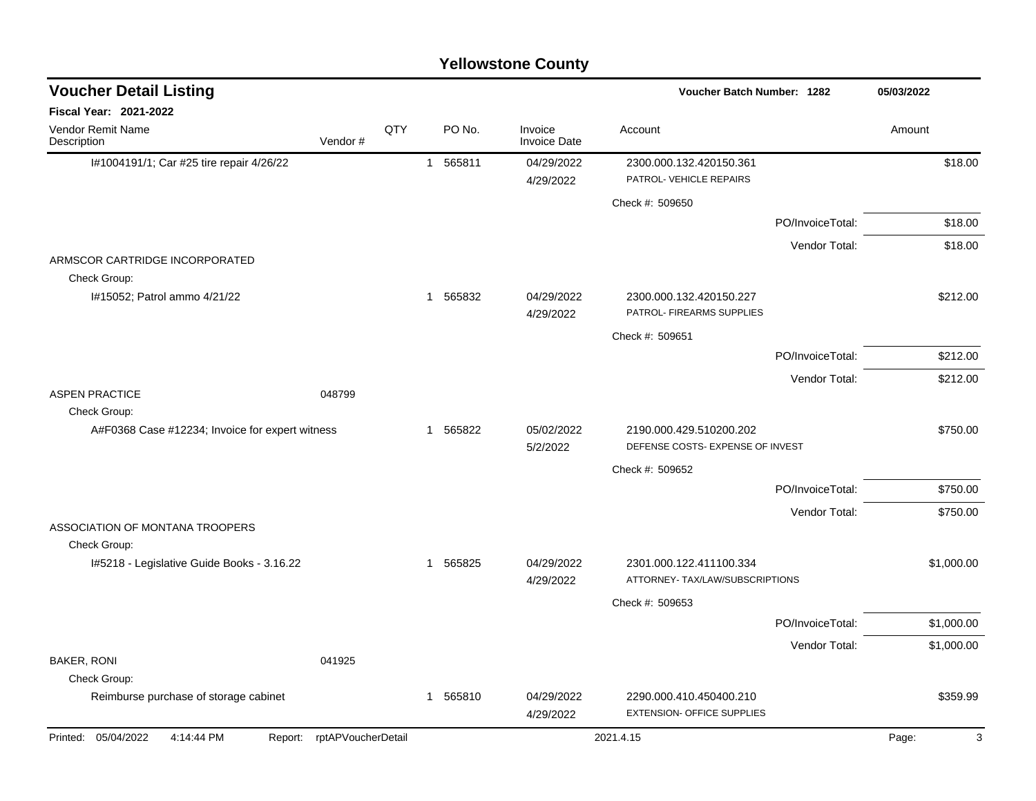| <b>Yellowstone County</b>                                       |                            |     |                          |                                |                                                              |                  |            |  |  |  |
|-----------------------------------------------------------------|----------------------------|-----|--------------------------|--------------------------------|--------------------------------------------------------------|------------------|------------|--|--|--|
| <b>Voucher Detail Listing</b>                                   |                            |     |                          |                                | Voucher Batch Number: 1282                                   |                  | 05/03/2022 |  |  |  |
| Fiscal Year: 2021-2022                                          |                            |     |                          |                                |                                                              |                  |            |  |  |  |
| Vendor Remit Name<br>Description                                | Vendor#                    | QTY | PO No.                   | Invoice<br><b>Invoice Date</b> | Account                                                      |                  | Amount     |  |  |  |
| I#1004191/1; Car #25 tire repair 4/26/22                        |                            |     | 565811<br>$\overline{1}$ | 04/29/2022<br>4/29/2022        | 2300.000.132.420150.361<br>PATROL- VEHICLE REPAIRS           |                  | \$18.00    |  |  |  |
|                                                                 |                            |     |                          |                                | Check #: 509650                                              |                  |            |  |  |  |
|                                                                 |                            |     |                          |                                |                                                              | PO/InvoiceTotal: | \$18.00    |  |  |  |
|                                                                 |                            |     |                          |                                |                                                              | Vendor Total:    | \$18.00    |  |  |  |
| ARMSCOR CARTRIDGE INCORPORATED<br>Check Group:                  |                            |     |                          |                                |                                                              |                  |            |  |  |  |
| I#15052; Patrol ammo 4/21/22                                    |                            |     | 565832<br>$\mathbf{1}$   | 04/29/2022<br>4/29/2022        | 2300.000.132.420150.227<br>PATROL- FIREARMS SUPPLIES         |                  | \$212.00   |  |  |  |
|                                                                 |                            |     |                          |                                | Check #: 509651                                              |                  |            |  |  |  |
|                                                                 |                            |     |                          |                                |                                                              | PO/InvoiceTotal: | \$212.00   |  |  |  |
|                                                                 |                            |     |                          |                                |                                                              | Vendor Total:    | \$212.00   |  |  |  |
| <b>ASPEN PRACTICE</b>                                           | 048799                     |     |                          |                                |                                                              |                  |            |  |  |  |
| Check Group:<br>A#F0368 Case #12234; Invoice for expert witness |                            |     | 565822<br>-1             | 05/02/2022<br>5/2/2022         | 2190.000.429.510200.202<br>DEFENSE COSTS- EXPENSE OF INVEST  |                  | \$750.00   |  |  |  |
|                                                                 |                            |     |                          |                                | Check #: 509652                                              |                  |            |  |  |  |
|                                                                 |                            |     |                          |                                |                                                              | PO/InvoiceTotal: | \$750.00   |  |  |  |
|                                                                 |                            |     |                          |                                |                                                              | Vendor Total:    | \$750.00   |  |  |  |
| ASSOCIATION OF MONTANA TROOPERS<br>Check Group:                 |                            |     |                          |                                |                                                              |                  |            |  |  |  |
| I#5218 - Legislative Guide Books - 3.16.22                      |                            |     | 565825<br>$\mathbf{1}$   | 04/29/2022                     | 2301.000.122.411100.334                                      |                  | \$1,000.00 |  |  |  |
|                                                                 |                            |     |                          | 4/29/2022                      | ATTORNEY- TAX/LAW/SUBSCRIPTIONS                              |                  |            |  |  |  |
|                                                                 |                            |     |                          |                                | Check #: 509653                                              |                  |            |  |  |  |
|                                                                 |                            |     |                          |                                |                                                              | PO/InvoiceTotal: | \$1,000.00 |  |  |  |
| BAKER, RONI                                                     | 041925                     |     |                          |                                |                                                              | Vendor Total:    | \$1,000.00 |  |  |  |
| Check Group:                                                    |                            |     |                          |                                |                                                              |                  |            |  |  |  |
| Reimburse purchase of storage cabinet                           |                            |     | 1 565810                 | 04/29/2022<br>4/29/2022        | 2290.000.410.450400.210<br><b>EXTENSION- OFFICE SUPPLIES</b> |                  | \$359.99   |  |  |  |
| Printed: 05/04/2022<br>4:14:44 PM                               | Report: rptAPVoucherDetail |     |                          |                                | 2021.4.15                                                    |                  | 3<br>Page: |  |  |  |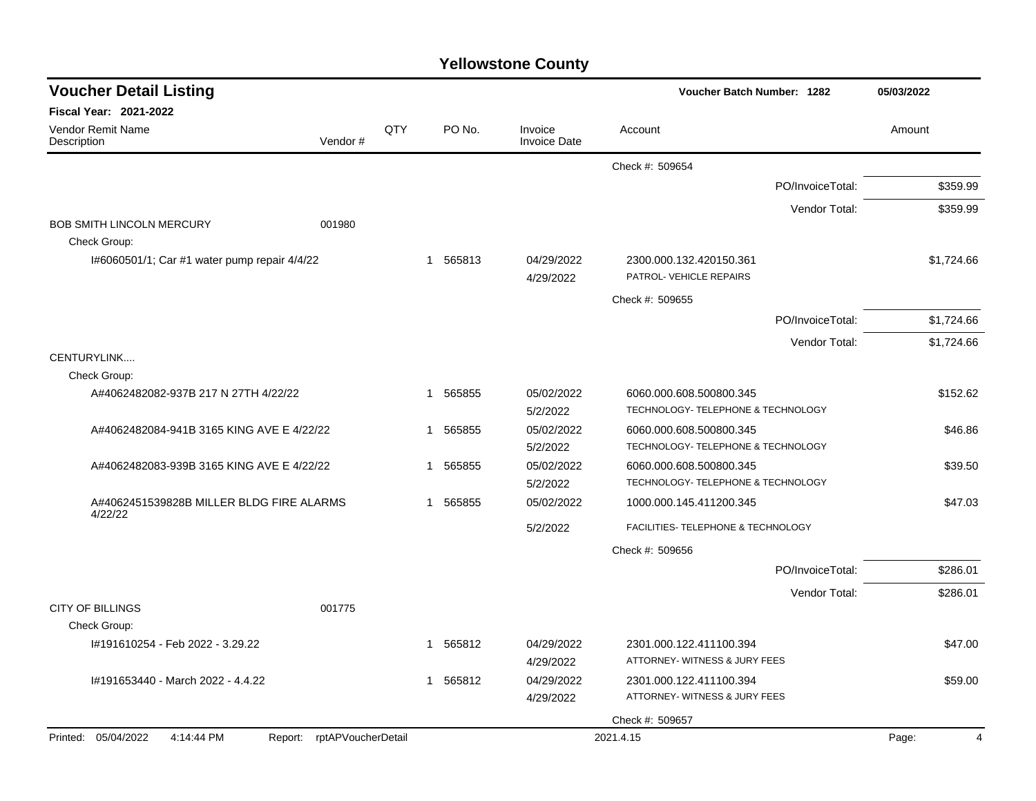| <b>Voucher Detail Listing</b>                                   |              |          |                                | <b>Voucher Batch Number: 1282</b>                             | 05/03/2022 |
|-----------------------------------------------------------------|--------------|----------|--------------------------------|---------------------------------------------------------------|------------|
| <b>Fiscal Year: 2021-2022</b>                                   |              |          |                                |                                                               |            |
| <b>Vendor Remit Name</b><br>Vendor#<br>Description              | QTY          | PO No.   | Invoice<br><b>Invoice Date</b> | Account                                                       | Amount     |
|                                                                 |              |          |                                | Check #: 509654                                               |            |
|                                                                 |              |          |                                | PO/InvoiceTotal:                                              | \$359.99   |
|                                                                 |              |          |                                | Vendor Total:                                                 | \$359.99   |
| <b>BOB SMITH LINCOLN MERCURY</b><br>001980                      |              |          |                                |                                                               |            |
| Check Group:                                                    |              |          |                                |                                                               |            |
| I#6060501/1; Car #1 water pump repair 4/4/22                    |              | 1 565813 | 04/29/2022<br>4/29/2022        | 2300.000.132.420150.361<br>PATROL- VEHICLE REPAIRS            | \$1,724.66 |
|                                                                 |              |          |                                | Check #: 509655                                               |            |
|                                                                 |              |          |                                | PO/InvoiceTotal:                                              | \$1,724.66 |
|                                                                 |              |          |                                | Vendor Total:                                                 | \$1,724.66 |
| CENTURYLINK                                                     |              |          |                                |                                                               |            |
| Check Group:                                                    |              |          |                                |                                                               |            |
| A#4062482082-937B 217 N 27TH 4/22/22                            | $\mathbf{1}$ | 565855   | 05/02/2022<br>5/2/2022         | 6060.000.608.500800.345<br>TECHNOLOGY- TELEPHONE & TECHNOLOGY | \$152.62   |
| A#4062482084-941B 3165 KING AVE E 4/22/22                       | $\mathbf{1}$ | 565855   | 05/02/2022                     | 6060.000.608.500800.345                                       | \$46.86    |
|                                                                 |              |          | 5/2/2022                       | TECHNOLOGY- TELEPHONE & TECHNOLOGY                            |            |
| A#4062482083-939B 3165 KING AVE E 4/22/22                       | $\mathbf{1}$ | 565855   | 05/02/2022<br>5/2/2022         | 6060.000.608.500800.345<br>TECHNOLOGY- TELEPHONE & TECHNOLOGY | \$39.50    |
| A#4062451539828B MILLER BLDG FIRE ALARMS                        |              | 1 565855 | 05/02/2022                     | 1000.000.145.411200.345                                       | \$47.03    |
| 4/22/22                                                         |              |          | 5/2/2022                       | FACILITIES- TELEPHONE & TECHNOLOGY                            |            |
|                                                                 |              |          |                                | Check #: 509656                                               |            |
|                                                                 |              |          |                                | PO/InvoiceTotal:                                              | \$286.01   |
|                                                                 |              |          |                                | Vendor Total:                                                 | \$286.01   |
| <b>CITY OF BILLINGS</b><br>001775                               |              |          |                                |                                                               |            |
| Check Group:                                                    |              |          |                                |                                                               |            |
| I#191610254 - Feb 2022 - 3.29.22                                | -1           | 565812   | 04/29/2022<br>4/29/2022        | 2301.000.122.411100.394<br>ATTORNEY- WITNESS & JURY FEES      | \$47.00    |
| I#191653440 - March 2022 - 4.4.22                               | $\mathbf{1}$ | 565812   | 04/29/2022                     | 2301.000.122.411100.394                                       | \$59.00    |
|                                                                 |              |          | 4/29/2022                      | ATTORNEY- WITNESS & JURY FEES                                 |            |
|                                                                 |              |          |                                | Check #: 509657                                               |            |
| Printed: 05/04/2022<br>Report: rptAPVoucherDetail<br>4:14:44 PM |              |          |                                | 2021.4.15                                                     | Page:<br>4 |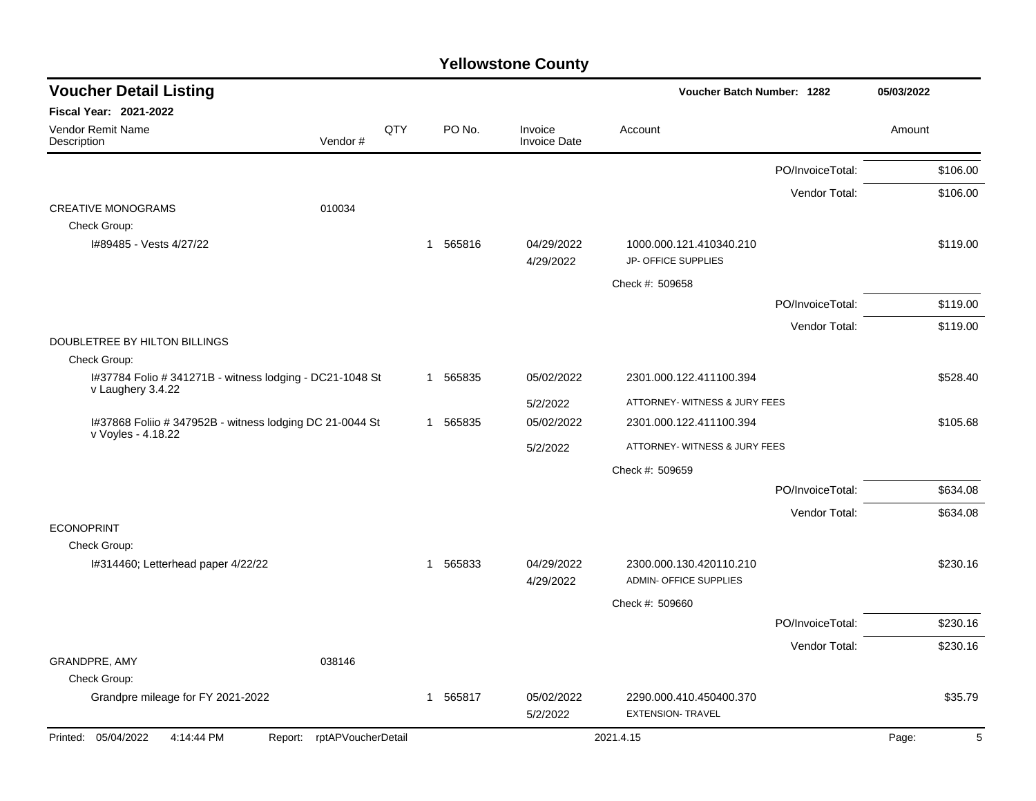| <b>Voucher Detail Listing</b>                                                  |                            |          |                        |                                | Voucher Batch Number: 1282                               |                  | 05/03/2022 |
|--------------------------------------------------------------------------------|----------------------------|----------|------------------------|--------------------------------|----------------------------------------------------------|------------------|------------|
| <b>Fiscal Year: 2021-2022</b>                                                  |                            |          |                        |                                |                                                          |                  |            |
| <b>Vendor Remit Name</b><br>Description                                        | Vendor#                    | QTY      | PO No.                 | Invoice<br><b>Invoice Date</b> | Account                                                  |                  | Amount     |
|                                                                                |                            |          |                        |                                |                                                          | PO/InvoiceTotal: | \$106.00   |
|                                                                                |                            |          |                        |                                |                                                          | Vendor Total:    | \$106.00   |
| <b>CREATIVE MONOGRAMS</b>                                                      | 010034                     |          |                        |                                |                                                          |                  |            |
| Check Group:                                                                   |                            |          |                        |                                |                                                          |                  |            |
|                                                                                | I#89485 - Vests 4/27/22    |          | 565816<br>$\mathbf{1}$ | 04/29/2022<br>4/29/2022        | 1000.000.121.410340.210<br>JP- OFFICE SUPPLIES           |                  | \$119.00   |
|                                                                                |                            |          |                        |                                | Check #: 509658                                          |                  |            |
|                                                                                |                            |          |                        |                                |                                                          | PO/InvoiceTotal: | \$119.00   |
|                                                                                |                            |          |                        |                                |                                                          | Vendor Total:    | \$119.00   |
| DOUBLETREE BY HILTON BILLINGS                                                  |                            |          |                        |                                |                                                          |                  |            |
| Check Group:                                                                   |                            |          |                        |                                |                                                          |                  |            |
| I#37784 Folio # 341271B - witness lodging - DC21-1048 St<br>v Laughery 3.4.22  |                            | 1 565835 | 05/02/2022             | 2301.000.122.411100.394        |                                                          | \$528.40         |            |
|                                                                                |                            |          |                        | 5/2/2022                       | ATTORNEY- WITNESS & JURY FEES                            |                  |            |
| I#37868 Foliio # 347952B - witness lodging DC 21-0044 St<br>v Voyles - 4.18.22 |                            | 1 565835 | 05/02/2022             | 2301.000.122.411100.394        |                                                          | \$105.68         |            |
|                                                                                |                            |          | 5/2/2022               | ATTORNEY- WITNESS & JURY FEES  |                                                          |                  |            |
|                                                                                |                            |          |                        |                                | Check #: 509659                                          |                  |            |
|                                                                                |                            |          |                        |                                |                                                          | PO/InvoiceTotal: | \$634.08   |
|                                                                                |                            |          |                        |                                |                                                          | Vendor Total:    | \$634.08   |
| <b>ECONOPRINT</b>                                                              |                            |          |                        |                                |                                                          |                  |            |
| Check Group:                                                                   |                            |          |                        |                                |                                                          |                  |            |
| I#314460; Letterhead paper 4/22/22                                             |                            |          | 1 565833               | 04/29/2022<br>4/29/2022        | 2300.000.130.420110.210<br><b>ADMIN- OFFICE SUPPLIES</b> |                  | \$230.16   |
|                                                                                |                            |          |                        |                                | Check #: 509660                                          |                  |            |
|                                                                                |                            |          |                        |                                |                                                          | PO/InvoiceTotal: | \$230.16   |
|                                                                                |                            |          |                        |                                |                                                          | Vendor Total:    | \$230.16   |
| GRANDPRE, AMY                                                                  | 038146                     |          |                        |                                |                                                          |                  |            |
| Check Group:                                                                   |                            |          |                        |                                |                                                          |                  |            |
| Grandpre mileage for FY 2021-2022                                              |                            |          | 1 565817               | 05/02/2022<br>5/2/2022         | 2290.000.410.450400.370<br><b>EXTENSION- TRAVEL</b>      |                  | \$35.79    |
| Printed: 05/04/2022<br>4:14:44 PM                                              | Report: rptAPVoucherDetail |          |                        |                                | 2021.4.15                                                |                  | Page:<br>5 |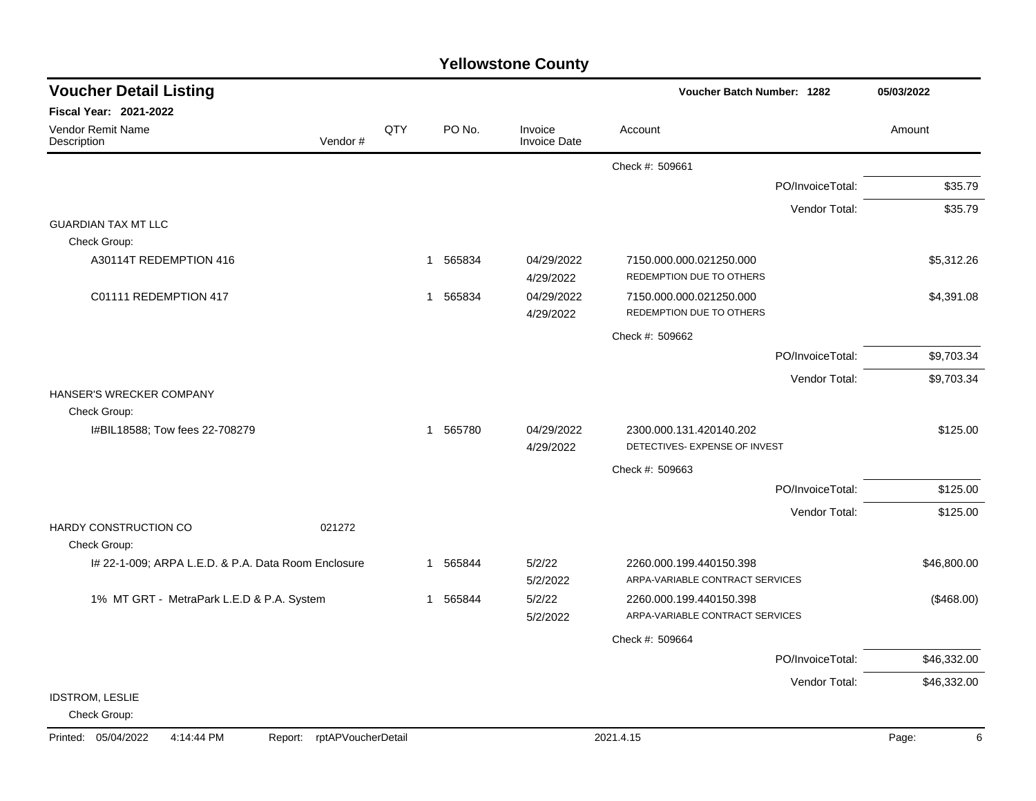| <b>Yellowstone County</b> |  |
|---------------------------|--|
|---------------------------|--|

| <b>Voucher Detail Listing</b>                      |                            |          |                         | Voucher Batch Number: 1282                               |                                                            |                  |             |
|----------------------------------------------------|----------------------------|----------|-------------------------|----------------------------------------------------------|------------------------------------------------------------|------------------|-------------|
| <b>Fiscal Year: 2021-2022</b>                      |                            |          |                         |                                                          |                                                            |                  |             |
| <b>Vendor Remit Name</b><br>Description            | Vendor#                    | QTY      | PO No.                  | Invoice<br><b>Invoice Date</b>                           | Account                                                    |                  | Amount      |
|                                                    |                            |          |                         |                                                          | Check #: 509661                                            |                  |             |
|                                                    |                            |          |                         |                                                          |                                                            | PO/InvoiceTotal: | \$35.79     |
|                                                    |                            |          |                         |                                                          |                                                            | Vendor Total:    | \$35.79     |
| <b>GUARDIAN TAX MT LLC</b>                         |                            |          |                         |                                                          |                                                            |                  |             |
| Check Group:                                       |                            |          |                         |                                                          |                                                            |                  |             |
| A30114T REDEMPTION 416                             |                            |          | 1 565834                | 04/29/2022<br>4/29/2022                                  | 7150.000.000.021250.000<br>REDEMPTION DUE TO OTHERS        |                  | \$5,312.26  |
| C01111 REDEMPTION 417                              |                            |          | 1 565834                | 04/29/2022<br>4/29/2022                                  | 7150.000.000.021250.000<br>REDEMPTION DUE TO OTHERS        |                  | \$4,391.08  |
|                                                    |                            |          |                         |                                                          | Check #: 509662                                            |                  |             |
|                                                    |                            |          |                         |                                                          |                                                            | PO/InvoiceTotal: | \$9,703.34  |
|                                                    |                            |          |                         |                                                          |                                                            | Vendor Total:    | \$9,703.34  |
| HANSER'S WRECKER COMPANY<br>Check Group:           |                            |          |                         |                                                          |                                                            |                  |             |
| I#BIL18588; Tow fees 22-708279                     |                            | 1 565780 | 04/29/2022<br>4/29/2022 | 2300.000.131.420140.202<br>DETECTIVES- EXPENSE OF INVEST |                                                            | \$125.00         |             |
|                                                    |                            |          |                         |                                                          | Check #: 509663                                            |                  |             |
|                                                    |                            |          |                         |                                                          |                                                            | PO/InvoiceTotal: | \$125.00    |
|                                                    |                            |          |                         |                                                          |                                                            | Vendor Total:    | \$125.00    |
| HARDY CONSTRUCTION CO<br>Check Group:              | 021272                     |          |                         |                                                          |                                                            |                  |             |
| # 22-1-009; ARPA L.E.D. & P.A. Data Room Enclosure |                            |          | 1 565844                | 5/2/22<br>5/2/2022                                       | 2260.000.199.440150.398<br>ARPA-VARIABLE CONTRACT SERVICES |                  | \$46,800.00 |
| 1% MT GRT - MetraPark L.E.D & P.A. System          |                            |          | 1 565844                | 5/2/22<br>5/2/2022                                       | 2260.000.199.440150.398<br>ARPA-VARIABLE CONTRACT SERVICES |                  | (\$468.00)  |
|                                                    |                            |          |                         |                                                          | Check #: 509664                                            |                  |             |
|                                                    |                            |          |                         |                                                          |                                                            | PO/InvoiceTotal: | \$46,332.00 |
|                                                    |                            |          |                         |                                                          |                                                            | Vendor Total:    | \$46,332.00 |
| <b>IDSTROM, LESLIE</b><br>Check Group:             |                            |          |                         |                                                          |                                                            |                  |             |
| Printed: 05/04/2022<br>4:14:44 PM                  | Report: rptAPVoucherDetail |          |                         |                                                          | 2021.4.15                                                  |                  | Page:<br>6  |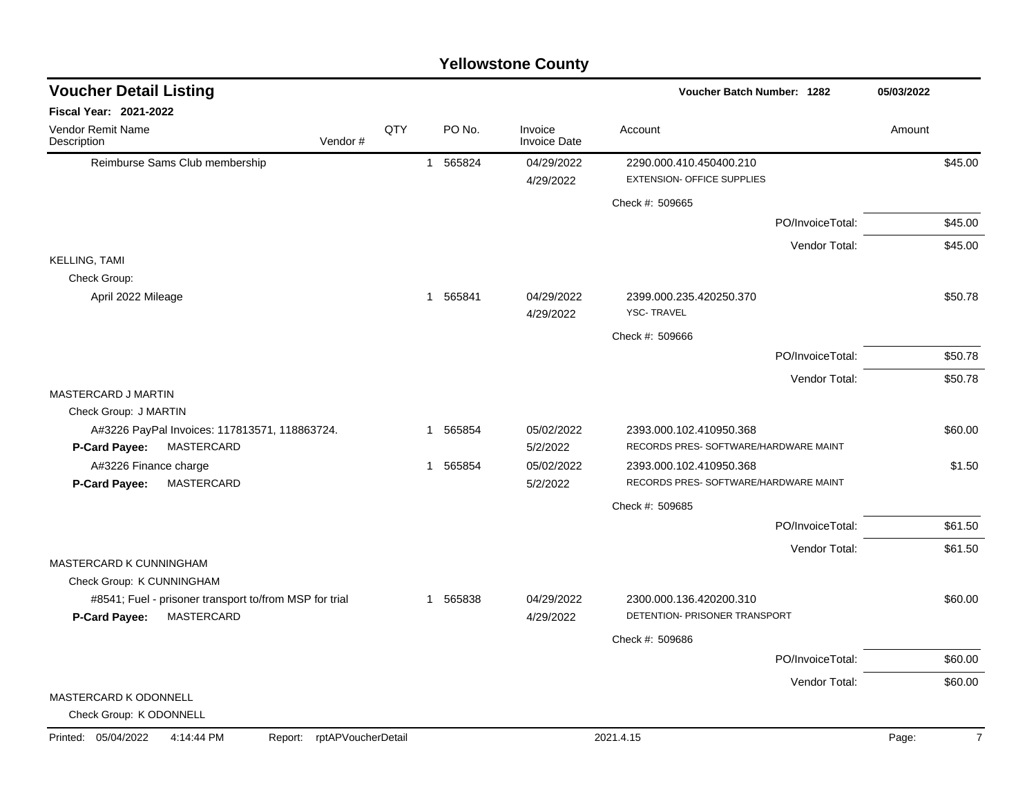|                                                        |                    |     |                        | <b>Yellowstone County</b>      |                                              |                  |            |
|--------------------------------------------------------|--------------------|-----|------------------------|--------------------------------|----------------------------------------------|------------------|------------|
| <b>Voucher Detail Listing</b>                          |                    |     |                        |                                | <b>Voucher Batch Number: 1282</b>            |                  | 05/03/2022 |
| Fiscal Year: 2021-2022                                 |                    |     |                        |                                |                                              |                  |            |
| Vendor Remit Name<br>Description                       | Vendor#            | QTY | PO No.                 | Invoice<br><b>Invoice Date</b> | Account                                      |                  | Amount     |
| Reimburse Sams Club membership                         |                    |     | 565824<br>$\mathbf{1}$ | 04/29/2022                     | 2290.000.410.450400.210                      |                  | \$45.00    |
|                                                        |                    |     |                        | 4/29/2022                      | <b>EXTENSION- OFFICE SUPPLIES</b>            |                  |            |
|                                                        |                    |     |                        |                                | Check #: 509665                              |                  |            |
|                                                        |                    |     |                        |                                |                                              | PO/InvoiceTotal: | \$45.00    |
|                                                        |                    |     |                        |                                |                                              | Vendor Total:    | \$45.00    |
| <b>KELLING, TAMI</b>                                   |                    |     |                        |                                |                                              |                  |            |
| Check Group:                                           |                    |     |                        |                                |                                              |                  |            |
| April 2022 Mileage                                     |                    |     | 1 565841               | 04/29/2022<br>4/29/2022        | 2399.000.235.420250.370<br><b>YSC-TRAVEL</b> |                  | \$50.78    |
|                                                        |                    |     |                        |                                | Check #: 509666                              |                  |            |
|                                                        |                    |     |                        |                                |                                              | PO/InvoiceTotal: | \$50.78    |
|                                                        |                    |     |                        |                                |                                              |                  |            |
| MASTERCARD J MARTIN                                    |                    |     |                        |                                |                                              | Vendor Total:    | \$50.78    |
| Check Group: J MARTIN                                  |                    |     |                        |                                |                                              |                  |            |
| A#3226 PayPal Invoices: 117813571, 118863724.          |                    |     | 565854<br>1            | 05/02/2022                     | 2393.000.102.410950.368                      |                  | \$60.00    |
| MASTERCARD<br>P-Card Payee:                            |                    |     |                        | 5/2/2022                       | RECORDS PRES- SOFTWARE/HARDWARE MAINT        |                  |            |
| A#3226 Finance charge                                  |                    |     | 1 565854               | 05/02/2022                     | 2393.000.102.410950.368                      |                  | \$1.50     |
| MASTERCARD<br>P-Card Payee:                            |                    |     |                        | 5/2/2022                       | RECORDS PRES- SOFTWARE/HARDWARE MAINT        |                  |            |
|                                                        |                    |     |                        |                                | Check #: 509685                              |                  |            |
|                                                        |                    |     |                        |                                |                                              | PO/InvoiceTotal: | \$61.50    |
| MASTERCARD K CUNNINGHAM                                |                    |     |                        |                                |                                              | Vendor Total:    | \$61.50    |
| Check Group: K CUNNINGHAM                              |                    |     |                        |                                |                                              |                  |            |
| #8541; Fuel - prisoner transport to/from MSP for trial |                    |     | 565838<br>-1           | 04/29/2022                     | 2300.000.136.420200.310                      |                  | \$60.00    |
| MASTERCARD<br><b>P-Card Payee:</b>                     |                    |     |                        | 4/29/2022                      | DETENTION- PRISONER TRANSPORT                |                  |            |
|                                                        |                    |     |                        |                                | Check #: 509686                              |                  |            |
|                                                        |                    |     |                        |                                |                                              | PO/InvoiceTotal: | \$60.00    |
|                                                        |                    |     |                        |                                |                                              | Vendor Total:    | \$60.00    |
| MASTERCARD K ODONNELL                                  |                    |     |                        |                                |                                              |                  |            |
| Check Group: K ODONNELL                                |                    |     |                        |                                |                                              |                  |            |
| Printed: 05/04/2022<br>4:14:44 PM<br>Report:           | rptAPVoucherDetail |     |                        |                                | 2021.4.15                                    |                  | Page:      |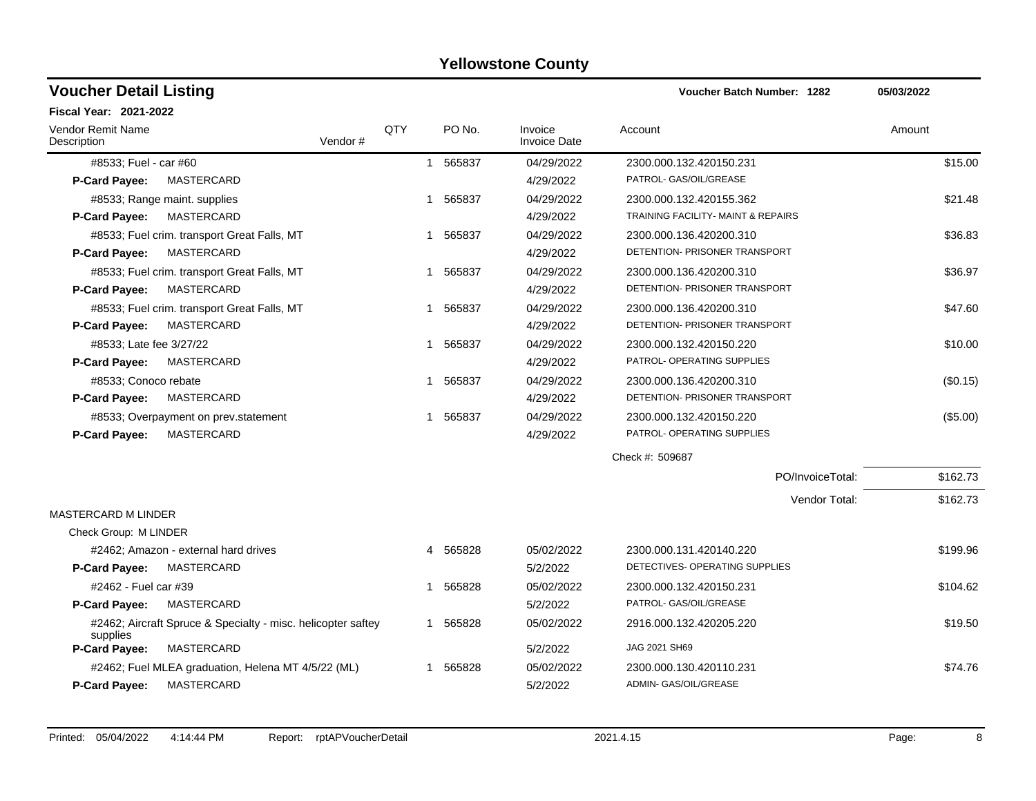| <b>Voucher Detail Listing</b>                                            |         |              |                        |                                | <b>Voucher Batch Number: 1282</b>  |                  | 05/03/2022 |          |
|--------------------------------------------------------------------------|---------|--------------|------------------------|--------------------------------|------------------------------------|------------------|------------|----------|
| <b>Fiscal Year: 2021-2022</b>                                            |         |              |                        |                                |                                    |                  |            |          |
| <b>Vendor Remit Name</b><br>Description                                  | Vendor# | QTY          | PO No.                 | Invoice<br><b>Invoice Date</b> | Account                            |                  | Amount     |          |
| #8533; Fuel - car #60                                                    |         |              | 565837<br>$\mathbf{1}$ | 04/29/2022                     | 2300.000.132.420150.231            |                  |            | \$15.00  |
| MASTERCARD<br><b>P-Card Payee:</b>                                       |         |              |                        | 4/29/2022                      | PATROL- GAS/OIL/GREASE             |                  |            |          |
| #8533; Range maint. supplies                                             |         |              | 1 565837               | 04/29/2022                     | 2300.000.132.420155.362            |                  |            | \$21.48  |
| MASTERCARD<br><b>P-Card Payee:</b>                                       |         |              |                        | 4/29/2022                      | TRAINING FACILITY- MAINT & REPAIRS |                  |            |          |
| #8533; Fuel crim. transport Great Falls, MT                              |         | 1            | 565837                 | 04/29/2022                     | 2300.000.136.420200.310            |                  |            | \$36.83  |
| MASTERCARD<br><b>P-Card Payee:</b>                                       |         |              |                        | 4/29/2022                      | DETENTION- PRISONER TRANSPORT      |                  |            |          |
| #8533; Fuel crim. transport Great Falls, MT                              |         |              | 1 565837               | 04/29/2022                     | 2300.000.136.420200.310            |                  |            | \$36.97  |
| MASTERCARD<br>P-Card Payee:                                              |         |              |                        | 4/29/2022                      | DETENTION- PRISONER TRANSPORT      |                  |            |          |
| #8533; Fuel crim. transport Great Falls, MT                              |         | 1            | 565837                 | 04/29/2022                     | 2300.000.136.420200.310            |                  |            | \$47.60  |
| MASTERCARD<br>P-Card Payee:                                              |         |              |                        | 4/29/2022                      | DETENTION- PRISONER TRANSPORT      |                  |            |          |
| #8533; Late fee 3/27/22                                                  |         | $\mathbf{1}$ | 565837                 | 04/29/2022                     | 2300.000.132.420150.220            |                  |            | \$10.00  |
| MASTERCARD<br><b>P-Card Payee:</b>                                       |         |              |                        | 4/29/2022                      | PATROL- OPERATING SUPPLIES         |                  |            |          |
| #8533; Conoco rebate                                                     |         | $\mathbf{1}$ | 565837                 | 04/29/2022                     | 2300.000.136.420200.310            |                  |            | (\$0.15) |
| MASTERCARD<br><b>P-Card Payee:</b>                                       |         |              |                        | 4/29/2022                      | DETENTION- PRISONER TRANSPORT      |                  |            |          |
| #8533; Overpayment on prev.statement                                     |         | 1            | 565837                 | 04/29/2022                     | 2300.000.132.420150.220            |                  |            | (\$5.00) |
| MASTERCARD<br>P-Card Payee:                                              |         |              |                        | 4/29/2022                      | PATROL- OPERATING SUPPLIES         |                  |            |          |
|                                                                          |         |              |                        |                                | Check #: 509687                    |                  |            |          |
|                                                                          |         |              |                        |                                |                                    | PO/InvoiceTotal: |            | \$162.73 |
|                                                                          |         |              |                        |                                |                                    | Vendor Total:    |            | \$162.73 |
| <b>MASTERCARD M LINDER</b>                                               |         |              |                        |                                |                                    |                  |            |          |
| Check Group: M LINDER                                                    |         |              |                        |                                |                                    |                  |            |          |
| #2462; Amazon - external hard drives                                     |         | 4            | 565828                 | 05/02/2022                     | 2300.000.131.420140.220            |                  |            | \$199.96 |
| MASTERCARD<br><b>P-Card Payee:</b>                                       |         |              |                        | 5/2/2022                       | DETECTIVES- OPERATING SUPPLIES     |                  |            |          |
| #2462 - Fuel car #39                                                     |         | -1           | 565828                 | 05/02/2022                     | 2300.000.132.420150.231            |                  |            | \$104.62 |
| MASTERCARD<br>P-Card Payee:                                              |         |              |                        | 5/2/2022                       | PATROL- GAS/OIL/GREASE             |                  |            |          |
| #2462; Aircraft Spruce & Specialty - misc. helicopter saftey<br>supplies |         |              | 1 565828               | 05/02/2022                     | 2916.000.132.420205.220            |                  |            | \$19.50  |
| <b>P-Card Payee:</b><br>MASTERCARD                                       |         |              |                        | 5/2/2022                       | JAG 2021 SH69                      |                  |            |          |
| #2462; Fuel MLEA graduation, Helena MT 4/5/22 (ML)                       |         | 1            | 565828                 | 05/02/2022                     | 2300.000.130.420110.231            |                  |            | \$74.76  |
| <b>P-Card Payee:</b><br><b>MASTERCARD</b>                                |         |              |                        | 5/2/2022                       | ADMIN- GAS/OIL/GREASE              |                  |            |          |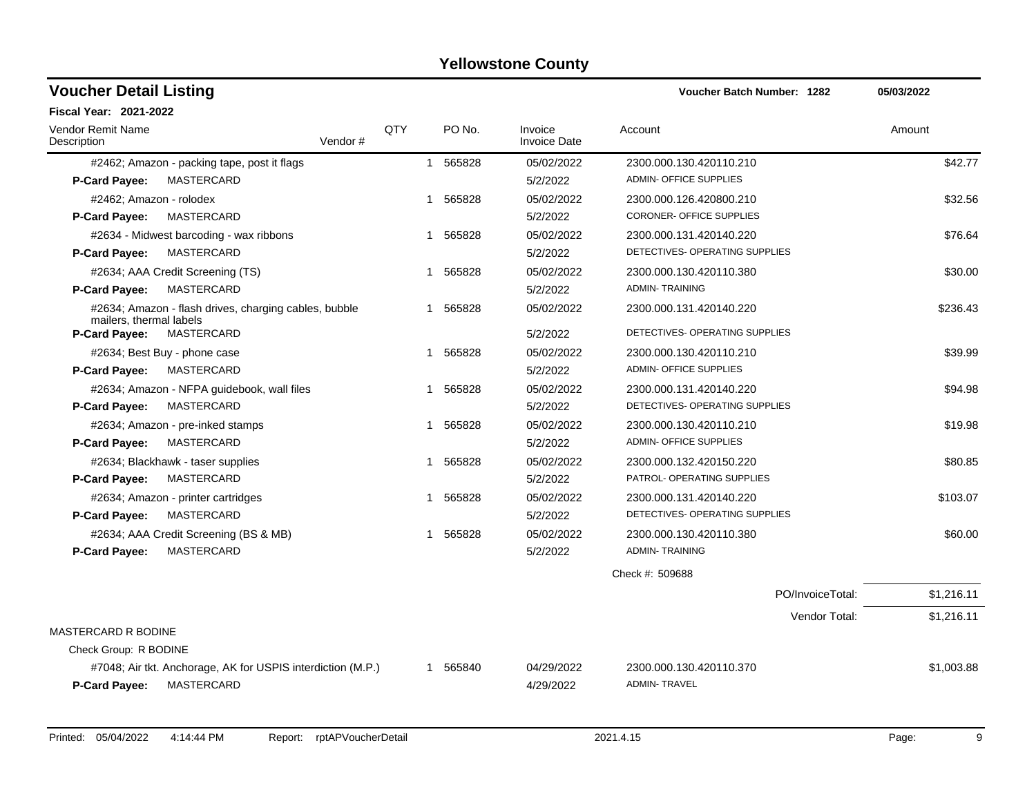| <b>Voucher Detail Listing</b>                                                              |     |                        |                                | Voucher Batch Number: 1282                     | 05/03/2022 |
|--------------------------------------------------------------------------------------------|-----|------------------------|--------------------------------|------------------------------------------------|------------|
| <b>Fiscal Year: 2021-2022</b>                                                              |     |                        |                                |                                                |            |
| <b>Vendor Remit Name</b><br>Description<br>Vendor#                                         | QTY | PO No.                 | Invoice<br><b>Invoice Date</b> | Account                                        | Amount     |
| #2462; Amazon - packing tape, post it flags                                                |     | 565828<br>$\mathbf{1}$ | 05/02/2022                     | 2300.000.130.420110.210                        | \$42.77    |
| MASTERCARD<br><b>P-Card Payee:</b>                                                         |     |                        | 5/2/2022                       | <b>ADMIN- OFFICE SUPPLIES</b>                  |            |
| #2462; Amazon - rolodex                                                                    |     | 1 565828               | 05/02/2022                     | 2300.000.126.420800.210                        | \$32.56    |
| MASTERCARD<br><b>P-Card Payee:</b>                                                         |     |                        | 5/2/2022                       | CORONER- OFFICE SUPPLIES                       |            |
| #2634 - Midwest barcoding - wax ribbons                                                    |     | 1 565828               | 05/02/2022                     | 2300.000.131.420140.220                        | \$76.64    |
| MASTERCARD<br><b>P-Card Payee:</b>                                                         |     |                        | 5/2/2022                       | DETECTIVES- OPERATING SUPPLIES                 |            |
| #2634; AAA Credit Screening (TS)                                                           |     | 565828<br>$\mathbf{1}$ | 05/02/2022                     | 2300.000.130.420110.380                        | \$30.00    |
| MASTERCARD<br>P-Card Payee:                                                                |     |                        | 5/2/2022                       | <b>ADMIN-TRAINING</b>                          |            |
| #2634; Amazon - flash drives, charging cables, bubble<br>mailers, thermal labels           |     | 1 565828               | 05/02/2022                     | 2300.000.131.420140.220                        | \$236.43   |
| P-Card Payee:<br>MASTERCARD                                                                |     |                        | 5/2/2022                       | DETECTIVES- OPERATING SUPPLIES                 |            |
| #2634; Best Buy - phone case                                                               |     | 565828<br>1            | 05/02/2022                     | 2300.000.130.420110.210                        | \$39.99    |
| P-Card Payee:<br>MASTERCARD                                                                |     |                        | 5/2/2022                       | <b>ADMIN- OFFICE SUPPLIES</b>                  |            |
| #2634; Amazon - NFPA guidebook, wall files                                                 |     | 1 565828               | 05/02/2022                     | 2300.000.131.420140.220                        | \$94.98    |
| <b>P-Card Payee:</b><br>MASTERCARD                                                         |     |                        | 5/2/2022                       | DETECTIVES- OPERATING SUPPLIES                 |            |
| #2634; Amazon - pre-inked stamps                                                           |     | 565828<br>1            | 05/02/2022                     | 2300.000.130.420110.210                        | \$19.98    |
| P-Card Payee:<br>MASTERCARD                                                                |     |                        | 5/2/2022                       | ADMIN- OFFICE SUPPLIES                         |            |
| #2634; Blackhawk - taser supplies                                                          |     | 1 565828               | 05/02/2022                     | 2300.000.132.420150.220                        | \$80.85    |
| <b>P-Card Payee:</b><br>MASTERCARD                                                         |     |                        | 5/2/2022                       | PATROL- OPERATING SUPPLIES                     |            |
| #2634; Amazon - printer cartridges                                                         |     | 1 565828               | 05/02/2022                     | 2300.000.131.420140.220                        | \$103.07   |
| <b>P-Card Payee:</b><br>MASTERCARD                                                         |     |                        | 5/2/2022                       | DETECTIVES- OPERATING SUPPLIES                 |            |
| #2634; AAA Credit Screening (BS & MB)                                                      |     | 1 565828               | 05/02/2022                     | 2300.000.130.420110.380                        | \$60.00    |
| P-Card Payee:<br>MASTERCARD                                                                |     |                        | 5/2/2022                       | <b>ADMIN-TRAINING</b>                          |            |
|                                                                                            |     |                        |                                | Check #: 509688                                |            |
|                                                                                            |     |                        |                                | PO/InvoiceTotal:                               | \$1,216.11 |
|                                                                                            |     |                        |                                | Vendor Total:                                  | \$1,216.11 |
| <b>MASTERCARD R BODINE</b>                                                                 |     |                        |                                |                                                |            |
| Check Group: R BODINE                                                                      |     |                        |                                |                                                |            |
| #7048; Air tkt. Anchorage, AK for USPIS interdiction (M.P.)<br>P-Card Payee:<br>MASTERCARD |     | 1 565840               | 04/29/2022<br>4/29/2022        | 2300.000.130.420110.370<br><b>ADMIN-TRAVEL</b> | \$1,003.88 |
|                                                                                            |     |                        |                                |                                                |            |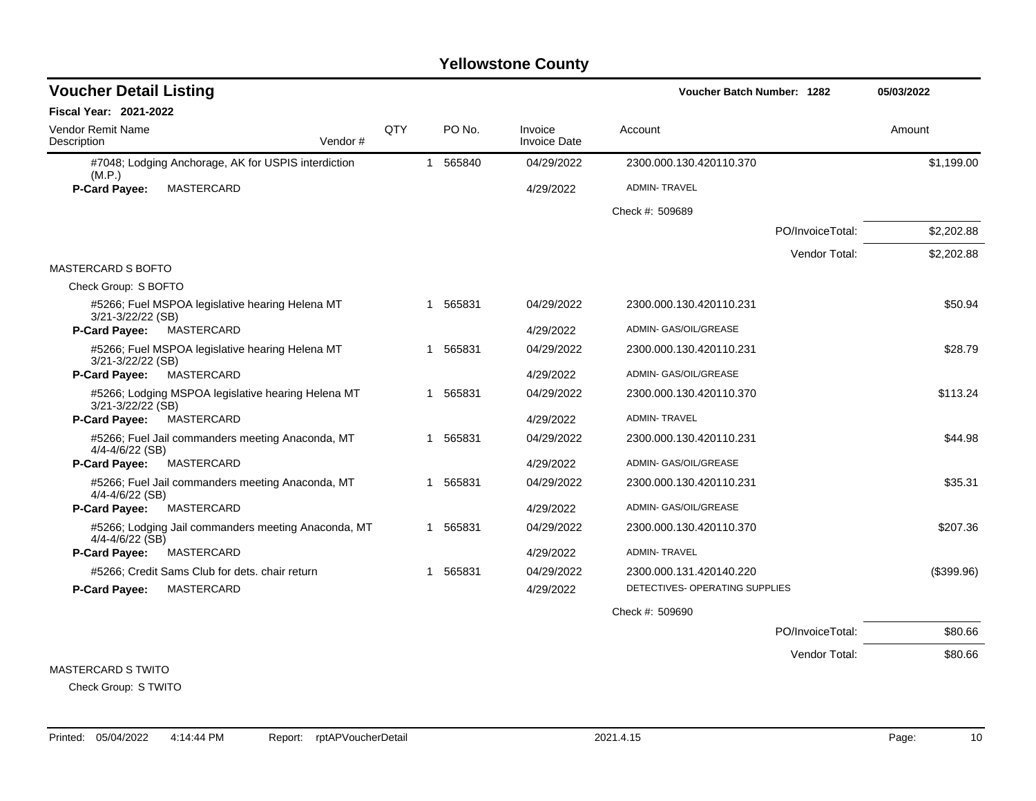| <b>Voucher Detail Listing</b>                                              |     |             |                                | <b>Voucher Batch Number: 1282</b> |                  | 05/03/2022 |
|----------------------------------------------------------------------------|-----|-------------|--------------------------------|-----------------------------------|------------------|------------|
| <b>Fiscal Year: 2021-2022</b>                                              |     |             |                                |                                   |                  |            |
| <b>Vendor Remit Name</b><br>Description<br>Vendor#                         | QTY | PO No.      | Invoice<br><b>Invoice Date</b> | Account                           |                  | Amount     |
| #7048; Lodging Anchorage, AK for USPIS interdiction<br>(M.P.)              |     | 565840<br>1 | 04/29/2022                     | 2300.000.130.420110.370           |                  | \$1,199.00 |
| P-Card Payee:<br>MASTERCARD                                                |     |             | 4/29/2022                      | <b>ADMIN-TRAVEL</b>               |                  |            |
|                                                                            |     |             |                                | Check #: 509689                   |                  |            |
|                                                                            |     |             |                                |                                   | PO/InvoiceTotal: | \$2,202.88 |
|                                                                            |     |             |                                |                                   | Vendor Total:    | \$2,202.88 |
| <b>MASTERCARD S BOFTO</b>                                                  |     |             |                                |                                   |                  |            |
| Check Group: S BOFTO                                                       |     |             |                                |                                   |                  |            |
| #5266; Fuel MSPOA legislative hearing Helena MT<br>3/21-3/22/22 (SB)       |     | 565831<br>1 | 04/29/2022                     | 2300.000.130.420110.231           |                  | \$50.94    |
| MASTERCARD<br><b>P-Card Payee:</b>                                         |     |             | 4/29/2022                      | ADMIN- GAS/OIL/GREASE             |                  |            |
| #5266; Fuel MSPOA legislative hearing Helena MT<br>3/21-3/22/22 (SB)       |     | 1 565831    | 04/29/2022                     | 2300.000.130.420110.231           |                  | \$28.79    |
| MASTERCARD<br><b>P-Card Payee:</b>                                         |     |             | 4/29/2022                      | ADMIN- GAS/OIL/GREASE             |                  |            |
| #5266; Lodging MSPOA legislative hearing Helena MT<br>3/21-3/22/22 (SB)    |     | 565831<br>1 | 04/29/2022                     | 2300.000.130.420110.370           |                  | \$113.24   |
| <b>P-Card Payee:</b><br>MASTERCARD                                         |     |             | 4/29/2022                      | <b>ADMIN-TRAVEL</b>               |                  |            |
| #5266; Fuel Jail commanders meeting Anaconda, MT<br>4/4-4/6/22 (SB)        |     | 565831<br>1 | 04/29/2022                     | 2300.000.130.420110.231           |                  | \$44.98    |
| MASTERCARD<br>P-Card Payee:                                                |     |             | 4/29/2022                      | ADMIN- GAS/OIL/GREASE             |                  |            |
| #5266; Fuel Jail commanders meeting Anaconda, MT<br>4/4-4/6/22 (SB)        |     | 565831<br>1 | 04/29/2022                     | 2300.000.130.420110.231           |                  | \$35.31    |
| P-Card Payee:<br>MASTERCARD                                                |     |             | 4/29/2022                      | ADMIN- GAS/OIL/GREASE             |                  |            |
| #5266; Lodging Jail commanders meeting Anaconda, MT<br>$4/4 - 4/6/22$ (SB) |     | 565831      | 04/29/2022                     | 2300.000.130.420110.370           |                  | \$207.36   |
| MASTERCARD<br>P-Card Payee:                                                |     |             | 4/29/2022                      | <b>ADMIN-TRAVEL</b>               |                  |            |
| #5266; Credit Sams Club for dets. chair return                             |     | 1 565831    | 04/29/2022                     | 2300.000.131.420140.220           |                  | (\$399.96) |
| P-Card Payee:<br>MASTERCARD                                                |     |             | 4/29/2022                      | DETECTIVES- OPERATING SUPPLIES    |                  |            |
|                                                                            |     |             |                                | Check #: 509690                   |                  |            |
|                                                                            |     |             |                                |                                   | PO/InvoiceTotal: | \$80.66    |
|                                                                            |     |             |                                |                                   | Vendor Total:    | \$80.66    |

MASTERCARD S TWITO

Check Group: S TWITO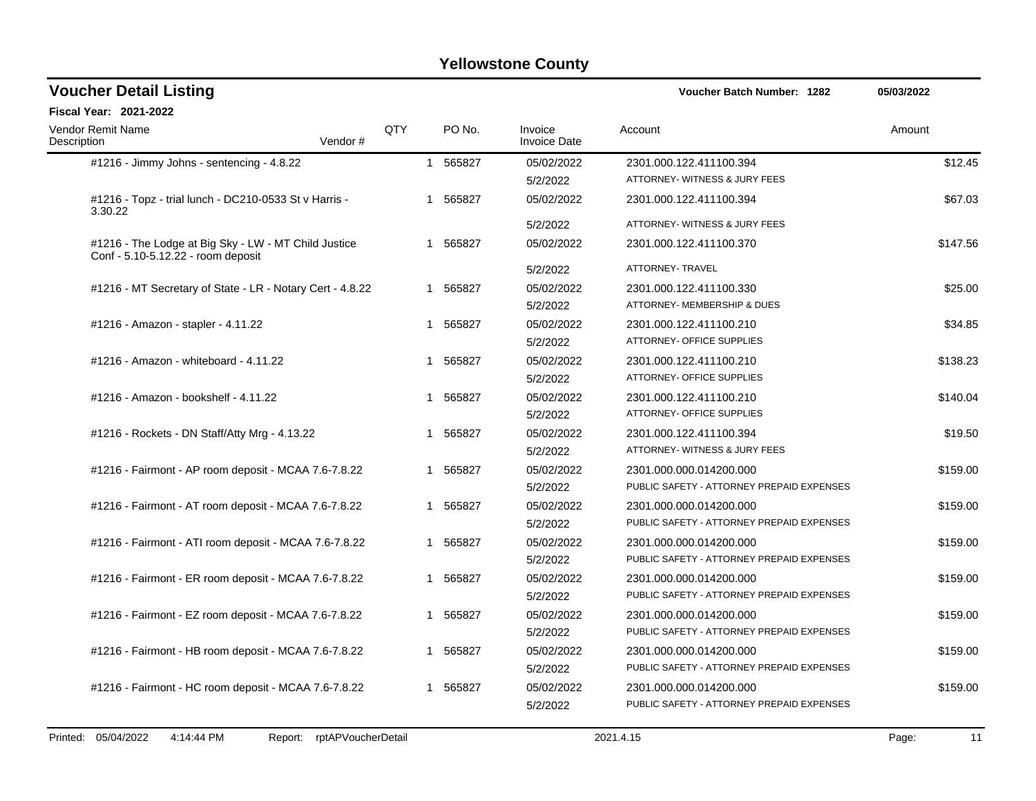| <b>Voucher Detail Listing</b>                                                              |         |             |             |                                | 05/03/2022                                                           |          |
|--------------------------------------------------------------------------------------------|---------|-------------|-------------|--------------------------------|----------------------------------------------------------------------|----------|
| <b>Fiscal Year: 2021-2022</b>                                                              |         |             |             |                                |                                                                      |          |
| <b>Vendor Remit Name</b><br>Description                                                    | Vendor# | QTY         | PO No.      | Invoice<br><b>Invoice Date</b> | Account                                                              | Amount   |
| #1216 - Jimmy Johns - sentencing - 4.8.22                                                  |         |             | 1 565827    | 05/02/2022<br>5/2/2022         | 2301.000.122.411100.394<br>ATTORNEY- WITNESS & JURY FEES             | \$12.45  |
| #1216 - Topz - trial lunch - DC210-0533 St v Harris -<br>3.30.22                           |         |             | 1 565827    | 05/02/2022                     | 2301.000.122.411100.394                                              | \$67.03  |
|                                                                                            |         |             |             | 5/2/2022                       | ATTORNEY- WITNESS & JURY FEES                                        |          |
| #1216 - The Lodge at Big Sky - LW - MT Child Justice<br>Conf - 5.10-5.12.22 - room deposit |         | 1           | 565827      | 05/02/2022                     | 2301.000.122.411100.370                                              | \$147.56 |
|                                                                                            |         |             |             | 5/2/2022                       | ATTORNEY- TRAVEL                                                     |          |
| #1216 - MT Secretary of State - LR - Notary Cert - 4.8.22                                  |         |             | 1 565827    | 05/02/2022<br>5/2/2022         | 2301.000.122.411100.330<br>ATTORNEY- MEMBERSHIP & DUES               | \$25.00  |
| #1216 - Amazon - stapler - 4.11.22                                                         |         | $\mathbf 1$ | 565827      | 05/02/2022<br>5/2/2022         | 2301.000.122.411100.210<br>ATTORNEY- OFFICE SUPPLIES                 | \$34.85  |
| #1216 - Amazon - whiteboard - 4.11.22                                                      |         |             | 1 565827    | 05/02/2022<br>5/2/2022         | 2301.000.122.411100.210<br>ATTORNEY- OFFICE SUPPLIES                 | \$138.23 |
| #1216 - Amazon - bookshelf - 4.11.22                                                       |         | 1           | 565827      | 05/02/2022<br>5/2/2022         | 2301.000.122.411100.210<br>ATTORNEY- OFFICE SUPPLIES                 | \$140.04 |
| #1216 - Rockets - DN Staff/Atty Mrg - 4.13.22                                              |         |             | 1 565827    | 05/02/2022<br>5/2/2022         | 2301.000.122.411100.394<br>ATTORNEY- WITNESS & JURY FEES             | \$19.50  |
| #1216 - Fairmont - AP room deposit - MCAA 7.6-7.8.22                                       |         |             | 1 565827    | 05/02/2022<br>5/2/2022         | 2301.000.000.014200.000<br>PUBLIC SAFETY - ATTORNEY PREPAID EXPENSES | \$159.00 |
| #1216 - Fairmont - AT room deposit - MCAA 7.6-7.8.22                                       |         | -1          | 565827      | 05/02/2022<br>5/2/2022         | 2301.000.000.014200.000<br>PUBLIC SAFETY - ATTORNEY PREPAID EXPENSES | \$159.00 |
| #1216 - Fairmont - ATI room deposit - MCAA 7.6-7.8.22                                      |         | -1          | 565827      | 05/02/2022<br>5/2/2022         | 2301.000.000.014200.000<br>PUBLIC SAFETY - ATTORNEY PREPAID EXPENSES | \$159.00 |
| #1216 - Fairmont - ER room deposit - MCAA 7.6-7.8.22                                       |         |             | 1 565827    | 05/02/2022<br>5/2/2022         | 2301.000.000.014200.000<br>PUBLIC SAFETY - ATTORNEY PREPAID EXPENSES | \$159.00 |
| #1216 - Fairmont - EZ room deposit - MCAA 7.6-7.8.22                                       |         |             | 1 565827    | 05/02/2022<br>5/2/2022         | 2301.000.000.014200.000<br>PUBLIC SAFETY - ATTORNEY PREPAID EXPENSES | \$159.00 |
| #1216 - Fairmont - HB room deposit - MCAA 7.6-7.8.22                                       |         |             | 1 565827    | 05/02/2022<br>5/2/2022         | 2301.000.000.014200.000<br>PUBLIC SAFETY - ATTORNEY PREPAID EXPENSES | \$159.00 |
| #1216 - Fairmont - HC room deposit - MCAA 7.6-7.8.22                                       |         |             | 565827<br>1 | 05/02/2022<br>5/2/2022         | 2301.000.000.014200.000<br>PUBLIC SAFETY - ATTORNEY PREPAID EXPENSES | \$159.00 |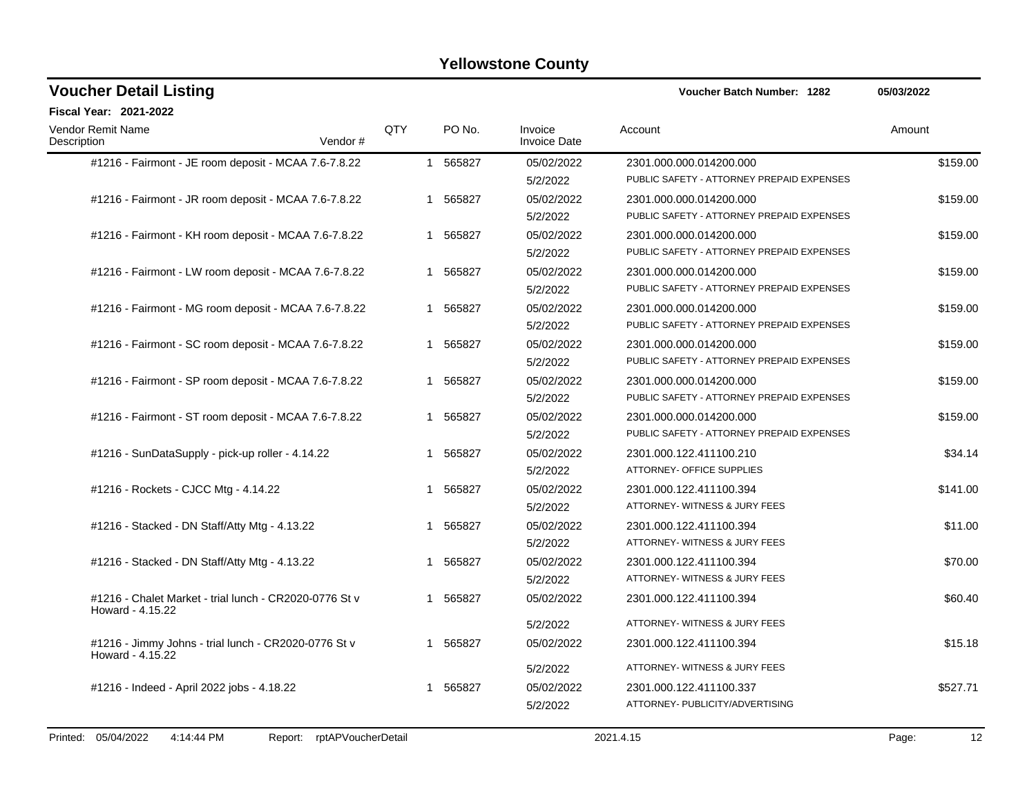| <b>Voucher Detail Listing</b>                                              |     |   |          |                                | <b>Voucher Batch Number: 1282</b>         | 05/03/2022 |
|----------------------------------------------------------------------------|-----|---|----------|--------------------------------|-------------------------------------------|------------|
| Fiscal Year: 2021-2022                                                     |     |   |          |                                |                                           |            |
| Vendor Remit Name<br>Description<br>Vendor#                                | QTY |   | PO No.   | Invoice<br><b>Invoice Date</b> | Account                                   | Amount     |
| #1216 - Fairmont - JE room deposit - MCAA 7.6-7.8.22                       |     |   | 1 565827 | 05/02/2022                     | 2301.000.000.014200.000                   | \$159.00   |
|                                                                            |     |   |          | 5/2/2022                       | PUBLIC SAFETY - ATTORNEY PREPAID EXPENSES |            |
| #1216 - Fairmont - JR room deposit - MCAA 7.6-7.8.22                       |     |   | 1 565827 | 05/02/2022                     | 2301.000.000.014200.000                   | \$159.00   |
|                                                                            |     |   |          | 5/2/2022                       | PUBLIC SAFETY - ATTORNEY PREPAID EXPENSES |            |
| #1216 - Fairmont - KH room deposit - MCAA 7.6-7.8.22                       |     | 1 | 565827   | 05/02/2022                     | 2301.000.000.014200.000                   | \$159.00   |
|                                                                            |     |   |          | 5/2/2022                       | PUBLIC SAFETY - ATTORNEY PREPAID EXPENSES |            |
| #1216 - Fairmont - LW room deposit - MCAA 7.6-7.8.22                       |     | 1 | 565827   | 05/02/2022                     | 2301.000.000.014200.000                   | \$159.00   |
|                                                                            |     |   |          | 5/2/2022                       | PUBLIC SAFETY - ATTORNEY PREPAID EXPENSES |            |
| #1216 - Fairmont - MG room deposit - MCAA 7.6-7.8.22                       |     |   | 1 565827 | 05/02/2022                     | 2301.000.000.014200.000                   | \$159.00   |
|                                                                            |     |   |          | 5/2/2022                       | PUBLIC SAFETY - ATTORNEY PREPAID EXPENSES |            |
| #1216 - Fairmont - SC room deposit - MCAA 7.6-7.8.22                       |     |   | 1 565827 | 05/02/2022                     | 2301.000.000.014200.000                   | \$159.00   |
|                                                                            |     |   |          | 5/2/2022                       | PUBLIC SAFETY - ATTORNEY PREPAID EXPENSES |            |
| #1216 - Fairmont - SP room deposit - MCAA 7.6-7.8.22                       |     | 1 | 565827   | 05/02/2022                     | 2301.000.000.014200.000                   | \$159.00   |
|                                                                            |     |   |          | 5/2/2022                       | PUBLIC SAFETY - ATTORNEY PREPAID EXPENSES |            |
| #1216 - Fairmont - ST room deposit - MCAA 7.6-7.8.22                       |     | 1 | 565827   | 05/02/2022                     | 2301.000.000.014200.000                   | \$159.00   |
|                                                                            |     |   |          | 5/2/2022                       | PUBLIC SAFETY - ATTORNEY PREPAID EXPENSES |            |
| #1216 - SunDataSupply - pick-up roller - 4.14.22                           |     | 1 | 565827   | 05/02/2022                     | 2301.000.122.411100.210                   | \$34.14    |
|                                                                            |     |   |          | 5/2/2022                       | ATTORNEY- OFFICE SUPPLIES                 |            |
| #1216 - Rockets - CJCC Mtg - 4.14.22                                       |     | 1 | 565827   | 05/02/2022                     | 2301.000.122.411100.394                   | \$141.00   |
|                                                                            |     |   |          | 5/2/2022                       | ATTORNEY- WITNESS & JURY FEES             |            |
| #1216 - Stacked - DN Staff/Atty Mtg - 4.13.22                              |     |   | 565827   | 05/02/2022                     | 2301.000.122.411100.394                   | \$11.00    |
|                                                                            |     |   |          | 5/2/2022                       | ATTORNEY- WITNESS & JURY FEES             |            |
| #1216 - Stacked - DN Staff/Atty Mtg - 4.13.22                              |     | 1 | 565827   | 05/02/2022                     | 2301.000.122.411100.394                   | \$70.00    |
|                                                                            |     |   |          | 5/2/2022                       | ATTORNEY- WITNESS & JURY FEES             |            |
| #1216 - Chalet Market - trial lunch - CR2020-0776 St v<br>Howard - 4.15.22 |     |   | 565827   | 05/02/2022                     | 2301.000.122.411100.394                   | \$60.40    |
|                                                                            |     |   |          | 5/2/2022                       | ATTORNEY- WITNESS & JURY FEES             |            |
| #1216 - Jimmy Johns - trial lunch - CR2020-0776 St v<br>Howard - 4.15.22   |     | 1 | 565827   | 05/02/2022                     | 2301.000.122.411100.394                   | \$15.18    |
|                                                                            |     |   |          | 5/2/2022                       | ATTORNEY- WITNESS & JURY FEES             |            |
| #1216 - Indeed - April 2022 jobs - 4.18.22                                 |     | 1 | 565827   | 05/02/2022                     | 2301.000.122.411100.337                   | \$527.71   |
|                                                                            |     |   |          | 5/2/2022                       | ATTORNEY- PUBLICITY/ADVERTISING           |            |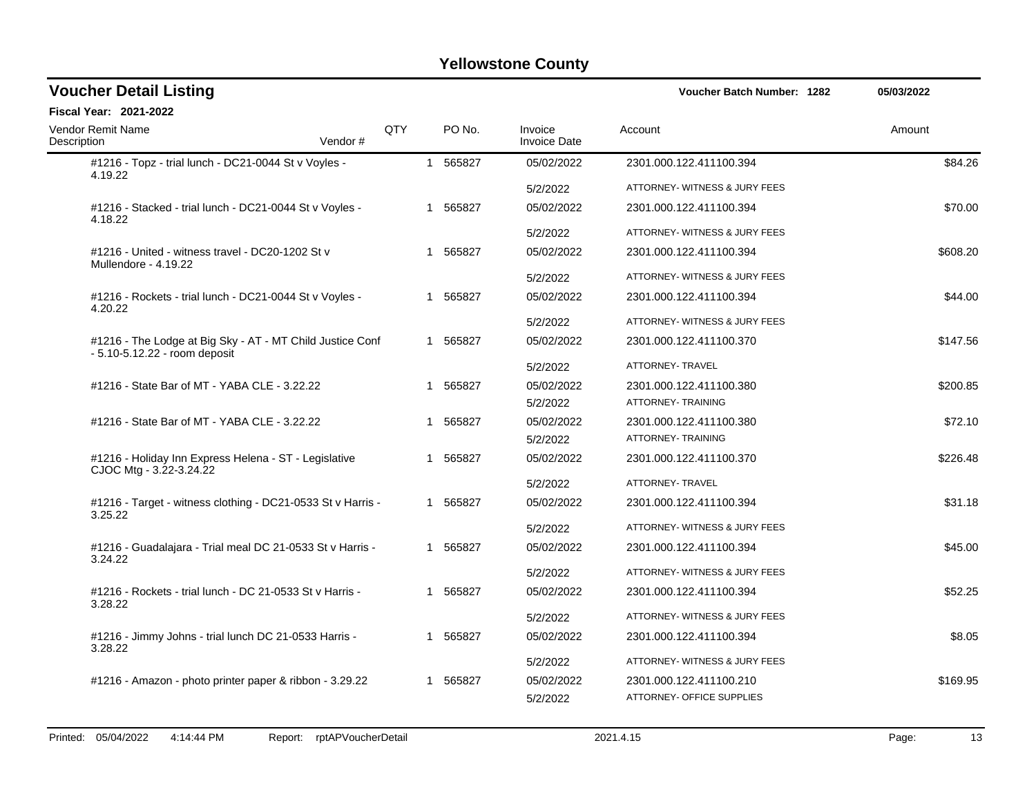| <b>Voucher Detail Listing</b>                                                              |                                                             |            |   |          |                                | Voucher Batch Number: 1282                           | 05/03/2022 |
|--------------------------------------------------------------------------------------------|-------------------------------------------------------------|------------|---|----------|--------------------------------|------------------------------------------------------|------------|
| <b>Fiscal Year: 2021-2022</b>                                                              |                                                             |            |   |          |                                |                                                      |            |
| <b>Vendor Remit Name</b><br>Description                                                    | Vendor#                                                     | <b>QTY</b> |   | PO No.   | Invoice<br><b>Invoice Date</b> | Account                                              | Amount     |
| #1216 - Topz - trial lunch - DC21-0044 St v Voyles -<br>4.19.22                            |                                                             |            |   | 1 565827 | 05/02/2022                     | 2301.000.122.411100.394                              | \$84.26    |
|                                                                                            |                                                             |            |   |          | 5/2/2022                       | ATTORNEY- WITNESS & JURY FEES                        |            |
| #1216 - Stacked - trial lunch - DC21-0044 St v Voyles -<br>4.18.22                         |                                                             |            |   | 1 565827 | 05/02/2022                     | 2301.000.122.411100.394                              | \$70.00    |
|                                                                                            |                                                             |            |   |          | 5/2/2022                       | ATTORNEY- WITNESS & JURY FEES                        |            |
| #1216 - United - witness travel - DC20-1202 St v<br>Mullendore - 4.19.22                   |                                                             |            |   | 1 565827 | 05/02/2022                     | 2301.000.122.411100.394                              | \$608.20   |
|                                                                                            |                                                             |            |   |          | 5/2/2022                       | ATTORNEY- WITNESS & JURY FEES                        |            |
| #1216 - Rockets - trial lunch - DC21-0044 St v Voyles -<br>4.20.22                         |                                                             |            |   | 1 565827 | 05/02/2022                     | 2301.000.122.411100.394                              | \$44.00    |
|                                                                                            |                                                             |            |   |          | 5/2/2022                       | ATTORNEY- WITNESS & JURY FEES                        |            |
| #1216 - The Lodge at Big Sky - AT - MT Child Justice Conf<br>- 5.10-5.12.22 - room deposit |                                                             |            |   | 1 565827 | 05/02/2022                     | 2301.000.122.411100.370                              | \$147.56   |
|                                                                                            |                                                             |            |   |          | 5/2/2022                       | ATTORNEY- TRAVEL                                     |            |
| #1216 - State Bar of MT - YABA CLE - 3.22.22                                               |                                                             |            |   | 1 565827 | 05/02/2022<br>5/2/2022         | 2301.000.122.411100.380<br>ATTORNEY- TRAINING        | \$200.85   |
| #1216 - State Bar of MT - YABA CLE - 3.22.22                                               |                                                             |            |   | 1 565827 | 05/02/2022                     | 2301.000.122.411100.380                              | \$72.10    |
|                                                                                            |                                                             |            |   |          | 5/2/2022                       | ATTORNEY- TRAINING                                   |            |
| #1216 - Holiday Inn Express Helena - ST - Legislative<br>CJOC Mtg - 3.22-3.24.22           |                                                             |            | 1 | 565827   | 05/02/2022                     | 2301.000.122.411100.370                              | \$226.48   |
|                                                                                            |                                                             |            |   |          | 5/2/2022                       | ATTORNEY- TRAVEL                                     |            |
| 3.25.22                                                                                    | #1216 - Target - witness clothing - DC21-0533 St v Harris - |            |   | 1 565827 | 05/02/2022                     | 2301.000.122.411100.394                              | \$31.18    |
|                                                                                            |                                                             |            |   |          | 5/2/2022                       | ATTORNEY- WITNESS & JURY FEES                        |            |
| 3.24.22                                                                                    | #1216 - Guadalajara - Trial meal DC 21-0533 St v Harris -   |            |   | 1 565827 | 05/02/2022                     | 2301.000.122.411100.394                              | \$45.00    |
|                                                                                            |                                                             |            |   |          | 5/2/2022                       | ATTORNEY- WITNESS & JURY FEES                        |            |
| #1216 - Rockets - trial lunch - DC 21-0533 St v Harris -<br>3.28.22                        |                                                             |            |   | 1 565827 | 05/02/2022                     | 2301.000.122.411100.394                              | \$52.25    |
|                                                                                            |                                                             |            |   |          | 5/2/2022                       | ATTORNEY- WITNESS & JURY FEES                        |            |
| #1216 - Jimmy Johns - trial lunch DC 21-0533 Harris -<br>3.28.22                           |                                                             |            | 1 | 565827   | 05/02/2022                     | 2301.000.122.411100.394                              | \$8.05     |
|                                                                                            |                                                             |            |   |          | 5/2/2022                       | ATTORNEY- WITNESS & JURY FEES                        |            |
| #1216 - Amazon - photo printer paper & ribbon - 3.29.22                                    |                                                             |            |   | 1 565827 | 05/02/2022<br>5/2/2022         | 2301.000.122.411100.210<br>ATTORNEY- OFFICE SUPPLIES | \$169.95   |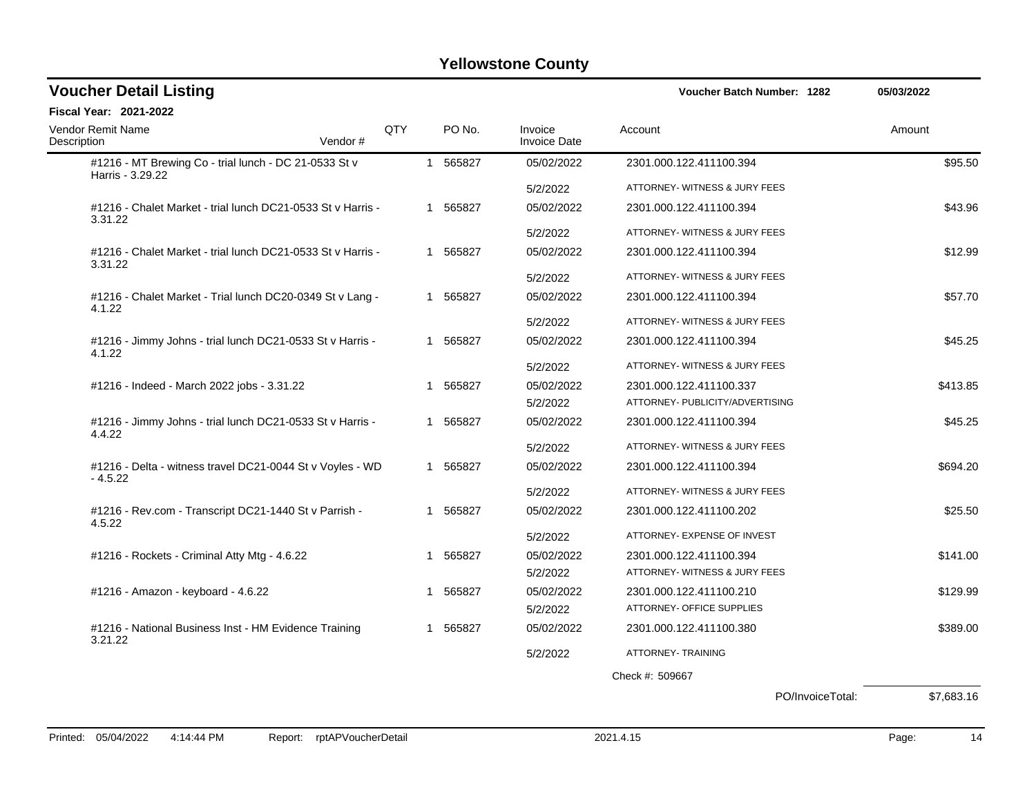| <b>Voucher Detail Listing</b>                                             |            |   |          |                                | <b>Voucher Batch Number: 1282</b> |                  | 05/03/2022 |         |
|---------------------------------------------------------------------------|------------|---|----------|--------------------------------|-----------------------------------|------------------|------------|---------|
| <b>Fiscal Year: 2021-2022</b>                                             |            |   |          |                                |                                   |                  |            |         |
| <b>Vendor Remit Name</b><br>Description<br>Vendor#                        | <b>QTY</b> |   | PO No.   | Invoice<br><b>Invoice Date</b> | Account                           |                  | Amount     |         |
| #1216 - MT Brewing Co - trial lunch - DC 21-0533 St v<br>Harris - 3.29.22 |            |   | 1 565827 | 05/02/2022                     | 2301.000.122.411100.394           |                  |            | \$95.50 |
|                                                                           |            |   |          | 5/2/2022                       | ATTORNEY- WITNESS & JURY FEES     |                  |            |         |
| #1216 - Chalet Market - trial lunch DC21-0533 St v Harris -<br>3.31.22    |            |   | 1 565827 | 05/02/2022                     | 2301.000.122.411100.394           |                  |            | \$43.96 |
|                                                                           |            |   |          | 5/2/2022                       | ATTORNEY- WITNESS & JURY FEES     |                  |            |         |
| #1216 - Chalet Market - trial lunch DC21-0533 St v Harris -<br>3.31.22    |            |   | 1 565827 | 05/02/2022                     | 2301.000.122.411100.394           |                  |            | \$12.99 |
|                                                                           |            |   |          | 5/2/2022                       | ATTORNEY- WITNESS & JURY FEES     |                  |            |         |
| #1216 - Chalet Market - Trial lunch DC20-0349 St v Lang -<br>4.1.22       |            |   | 1 565827 | 05/02/2022                     | 2301.000.122.411100.394           |                  |            | \$57.70 |
|                                                                           |            |   |          | 5/2/2022                       | ATTORNEY- WITNESS & JURY FEES     |                  |            |         |
| #1216 - Jimmy Johns - trial lunch DC21-0533 St v Harris -<br>4.1.22       |            |   | 1 565827 | 05/02/2022                     | 2301.000.122.411100.394           |                  |            | \$45.25 |
|                                                                           |            |   |          | 5/2/2022                       | ATTORNEY- WITNESS & JURY FEES     |                  |            |         |
| #1216 - Indeed - March 2022 jobs - 3.31.22                                |            |   | 1 565827 | 05/02/2022                     | 2301.000.122.411100.337           |                  | \$413.85   |         |
|                                                                           |            |   |          | 5/2/2022                       | ATTORNEY- PUBLICITY/ADVERTISING   |                  |            |         |
| #1216 - Jimmy Johns - trial lunch DC21-0533 St v Harris -<br>4.4.22       |            | 1 | 565827   | 05/02/2022                     | 2301.000.122.411100.394           |                  |            | \$45.25 |
|                                                                           |            |   |          | 5/2/2022                       | ATTORNEY- WITNESS & JURY FEES     |                  |            |         |
| #1216 - Delta - witness travel DC21-0044 St v Voyles - WD<br>$-4.5.22$    |            |   | 1 565827 | 05/02/2022                     | 2301.000.122.411100.394           |                  | \$694.20   |         |
|                                                                           |            |   |          | 5/2/2022                       | ATTORNEY- WITNESS & JURY FEES     |                  |            |         |
| #1216 - Rev.com - Transcript DC21-1440 St v Parrish -<br>4.5.22           |            | 1 | 565827   | 05/02/2022                     | 2301.000.122.411100.202           |                  |            | \$25.50 |
|                                                                           |            |   |          | 5/2/2022                       | ATTORNEY- EXPENSE OF INVEST       |                  |            |         |
| #1216 - Rockets - Criminal Atty Mtg - 4.6.22                              |            |   | 1 565827 | 05/02/2022                     | 2301.000.122.411100.394           |                  | \$141.00   |         |
|                                                                           |            |   |          | 5/2/2022                       | ATTORNEY- WITNESS & JURY FEES     |                  |            |         |
| #1216 - Amazon - keyboard - 4.6.22                                        |            |   | 1 565827 | 05/02/2022                     | 2301.000.122.411100.210           |                  | \$129.99   |         |
|                                                                           |            |   |          | 5/2/2022                       | ATTORNEY- OFFICE SUPPLIES         |                  |            |         |
| #1216 - National Business Inst - HM Evidence Training<br>3.21.22          |            |   | 1 565827 | 05/02/2022                     | 2301.000.122.411100.380           |                  | \$389.00   |         |
|                                                                           |            |   |          | 5/2/2022                       | ATTORNEY- TRAINING                |                  |            |         |
|                                                                           |            |   |          |                                | Check #: 509667                   |                  |            |         |
|                                                                           |            |   |          |                                |                                   | PO/InvoiceTotal: | \$7.683.16 |         |
|                                                                           |            |   |          |                                |                                   |                  |            |         |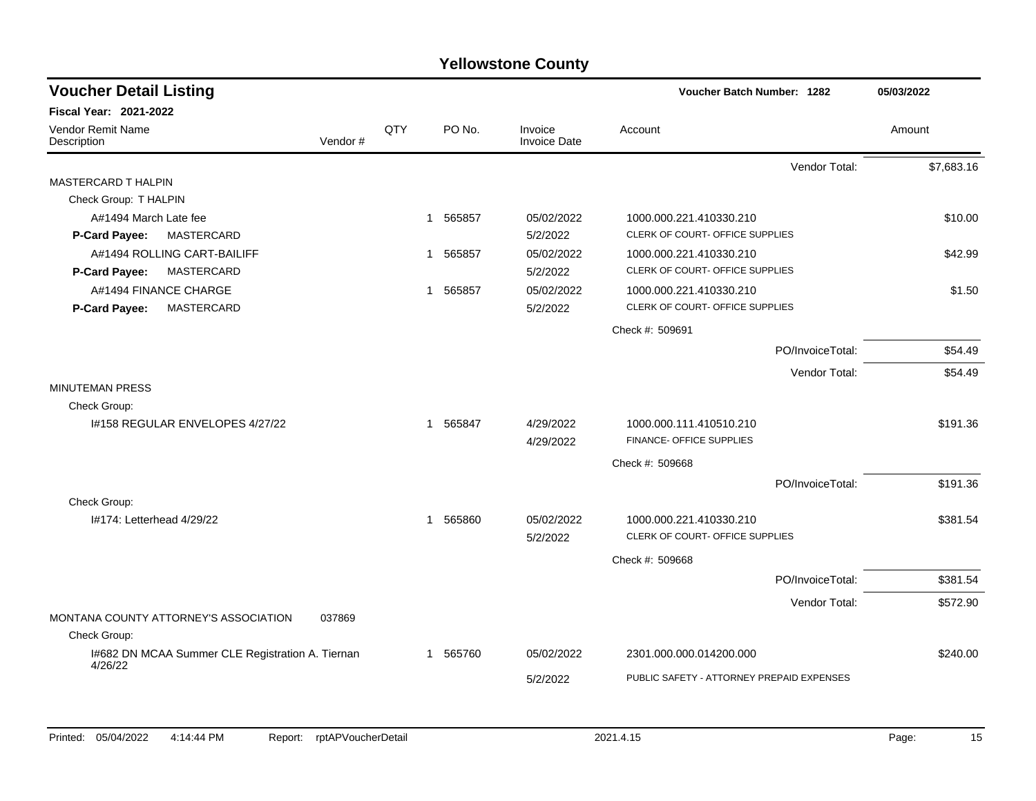| <b>Voucher Detail Listing</b>                    |                |              |          |                                | <b>Voucher Batch Number: 1282</b>         |                  | 05/03/2022 |
|--------------------------------------------------|----------------|--------------|----------|--------------------------------|-------------------------------------------|------------------|------------|
| <b>Fiscal Year: 2021-2022</b>                    |                |              |          |                                |                                           |                  |            |
| Vendor Remit Name<br>Description                 | QTY<br>Vendor# |              | PO No.   | Invoice<br><b>Invoice Date</b> | Account                                   |                  | Amount     |
|                                                  |                |              |          |                                |                                           | Vendor Total:    | \$7,683.16 |
| <b>MASTERCARD T HALPIN</b>                       |                |              |          |                                |                                           |                  |            |
| Check Group: T HALPIN                            |                |              |          |                                |                                           |                  |            |
| A#1494 March Late fee                            |                | 1            | 565857   | 05/02/2022                     | 1000.000.221.410330.210                   |                  | \$10.00    |
| MASTERCARD<br><b>P-Card Payee:</b>               |                |              |          | 5/2/2022                       | CLERK OF COURT- OFFICE SUPPLIES           |                  |            |
| A#1494 ROLLING CART-BAILIFF                      |                | $\mathbf{1}$ | 565857   | 05/02/2022                     | 1000.000.221.410330.210                   |                  | \$42.99    |
| <b>MASTERCARD</b><br><b>P-Card Payee:</b>        |                |              |          | 5/2/2022                       | CLERK OF COURT- OFFICE SUPPLIES           |                  |            |
| A#1494 FINANCE CHARGE                            |                | 1            | 565857   | 05/02/2022                     | 1000.000.221.410330.210                   |                  | \$1.50     |
| MASTERCARD<br>P-Card Payee:                      |                |              |          | 5/2/2022                       | CLERK OF COURT- OFFICE SUPPLIES           |                  |            |
|                                                  |                |              |          |                                | Check #: 509691                           |                  |            |
|                                                  |                |              |          |                                |                                           | PO/InvoiceTotal: | \$54.49    |
|                                                  |                |              |          |                                |                                           | Vendor Total:    | \$54.49    |
| <b>MINUTEMAN PRESS</b>                           |                |              |          |                                |                                           |                  |            |
| Check Group:                                     |                |              |          |                                |                                           |                  |            |
| 1#158 REGULAR ENVELOPES 4/27/22                  |                | 1            | 565847   | 4/29/2022                      | 1000.000.111.410510.210                   |                  | \$191.36   |
|                                                  |                |              |          | 4/29/2022                      | FINANCE- OFFICE SUPPLIES                  |                  |            |
|                                                  |                |              |          |                                | Check #: 509668                           |                  |            |
|                                                  |                |              |          |                                |                                           | PO/InvoiceTotal: | \$191.36   |
| Check Group:                                     |                |              |          |                                |                                           |                  |            |
| 1#174: Letterhead 4/29/22                        |                |              | 1 565860 | 05/02/2022                     | 1000.000.221.410330.210                   |                  | \$381.54   |
|                                                  |                |              |          | 5/2/2022                       | CLERK OF COURT- OFFICE SUPPLIES           |                  |            |
|                                                  |                |              |          |                                | Check #: 509668                           |                  |            |
|                                                  |                |              |          |                                |                                           | PO/InvoiceTotal: | \$381.54   |
|                                                  |                |              |          |                                |                                           | Vendor Total:    | \$572.90   |
| MONTANA COUNTY ATTORNEY'S ASSOCIATION<br>037869  |                |              |          |                                |                                           |                  |            |
| Check Group:                                     |                |              |          |                                |                                           |                  |            |
| 1#682 DN MCAA Summer CLE Registration A. Tiernan |                |              | 1 565760 | 05/02/2022                     | 2301.000.000.014200.000                   |                  | \$240.00   |
| 4/26/22                                          |                |              |          | 5/2/2022                       | PUBLIC SAFETY - ATTORNEY PREPAID EXPENSES |                  |            |
|                                                  |                |              |          |                                |                                           |                  |            |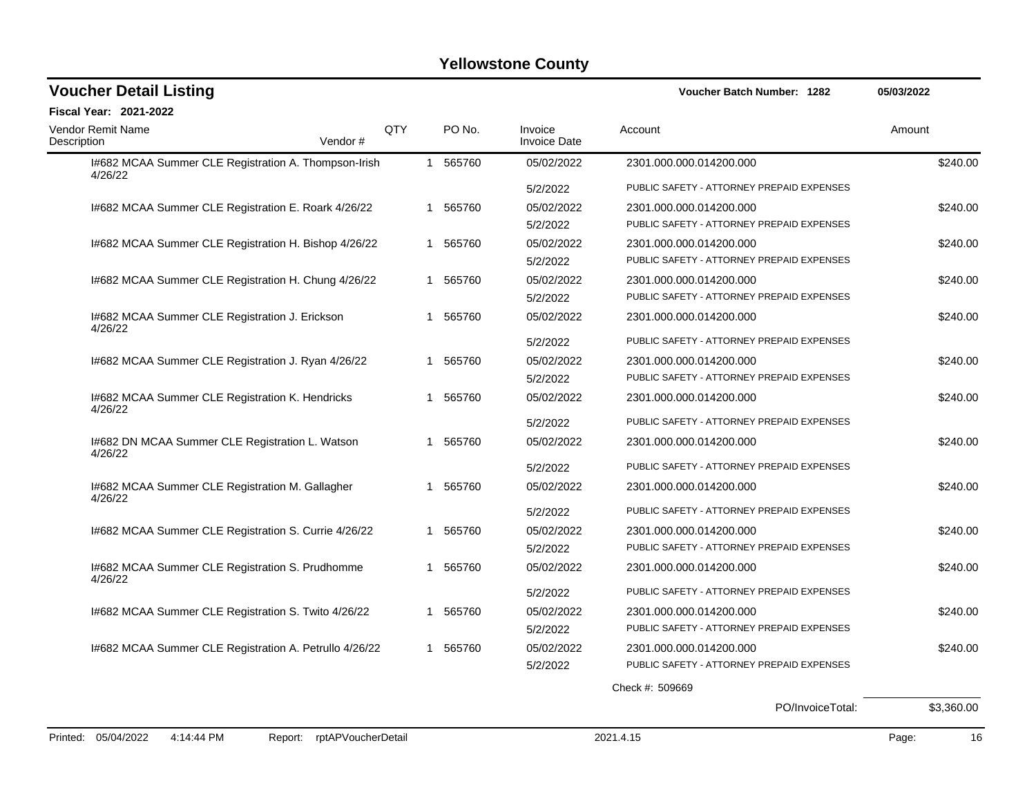| <b>Voucher Detail Listing</b>                                   |                |              |          |                                | <b>Voucher Batch Number: 1282</b>         | 05/03/2022 |
|-----------------------------------------------------------------|----------------|--------------|----------|--------------------------------|-------------------------------------------|------------|
| <b>Fiscal Year: 2021-2022</b>                                   |                |              |          |                                |                                           |            |
| Vendor Remit Name<br>Description                                | QTY<br>Vendor# |              | PO No.   | Invoice<br><b>Invoice Date</b> | Account                                   | Amount     |
| I#682 MCAA Summer CLE Registration A. Thompson-Irish<br>4/26/22 |                |              | 1 565760 | 05/02/2022                     | 2301.000.000.014200.000                   | \$240.00   |
|                                                                 |                |              |          | 5/2/2022                       | PUBLIC SAFETY - ATTORNEY PREPAID EXPENSES |            |
| I#682 MCAA Summer CLE Registration E. Roark 4/26/22             |                | 1            | 565760   | 05/02/2022                     | 2301.000.000.014200.000                   | \$240.00   |
|                                                                 |                |              |          | 5/2/2022                       | PUBLIC SAFETY - ATTORNEY PREPAID EXPENSES |            |
| I#682 MCAA Summer CLE Registration H. Bishop 4/26/22            |                | $\mathbf{1}$ | 565760   | 05/02/2022                     | 2301.000.000.014200.000                   | \$240.00   |
|                                                                 |                |              |          | 5/2/2022                       | PUBLIC SAFETY - ATTORNEY PREPAID EXPENSES |            |
| I#682 MCAA Summer CLE Registration H. Chung 4/26/22             |                |              | 1 565760 | 05/02/2022                     | 2301.000.000.014200.000                   | \$240.00   |
|                                                                 |                |              |          | 5/2/2022                       | PUBLIC SAFETY - ATTORNEY PREPAID EXPENSES |            |
| 1#682 MCAA Summer CLE Registration J. Erickson<br>4/26/22       |                | 1            | 565760   | 05/02/2022                     | 2301.000.000.014200.000                   | \$240.00   |
|                                                                 |                |              |          | 5/2/2022                       | PUBLIC SAFETY - ATTORNEY PREPAID EXPENSES |            |
| I#682 MCAA Summer CLE Registration J. Ryan 4/26/22              |                | 1.           | 565760   | 05/02/2022                     | 2301.000.000.014200.000                   | \$240.00   |
|                                                                 |                |              |          | 5/2/2022                       | PUBLIC SAFETY - ATTORNEY PREPAID EXPENSES |            |
| 1#682 MCAA Summer CLE Registration K. Hendricks<br>4/26/22      |                | 1            | 565760   | 05/02/2022                     | 2301.000.000.014200.000                   | \$240.00   |
|                                                                 |                |              |          | 5/2/2022                       | PUBLIC SAFETY - ATTORNEY PREPAID EXPENSES |            |
| 1#682 DN MCAA Summer CLE Registration L. Watson<br>4/26/22      |                |              | 1 565760 | 05/02/2022                     | 2301.000.000.014200.000                   | \$240.00   |
|                                                                 |                |              |          | 5/2/2022                       | PUBLIC SAFETY - ATTORNEY PREPAID EXPENSES |            |
| I#682 MCAA Summer CLE Registration M. Gallagher<br>4/26/22      |                | 1            | 565760   | 05/02/2022                     | 2301.000.000.014200.000                   | \$240.00   |
|                                                                 |                |              |          | 5/2/2022                       | PUBLIC SAFETY - ATTORNEY PREPAID EXPENSES |            |
| I#682 MCAA Summer CLE Registration S. Currie 4/26/22            |                | 1            | 565760   | 05/02/2022                     | 2301.000.000.014200.000                   | \$240.00   |
|                                                                 |                |              |          | 5/2/2022                       | PUBLIC SAFETY - ATTORNEY PREPAID EXPENSES |            |
| I#682 MCAA Summer CLE Registration S. Prudhomme<br>4/26/22      |                |              | 1 565760 | 05/02/2022                     | 2301.000.000.014200.000                   | \$240.00   |
|                                                                 |                |              |          | 5/2/2022                       | PUBLIC SAFETY - ATTORNEY PREPAID EXPENSES |            |
| I#682 MCAA Summer CLE Registration S. Twito 4/26/22             |                | 1            | 565760   | 05/02/2022                     | 2301.000.000.014200.000                   | \$240.00   |
|                                                                 |                |              |          | 5/2/2022                       | PUBLIC SAFETY - ATTORNEY PREPAID EXPENSES |            |
| I#682 MCAA Summer CLE Registration A. Petrullo 4/26/22          |                |              | 1 565760 | 05/02/2022                     | 2301.000.000.014200.000                   | \$240.00   |
|                                                                 |                |              |          | 5/2/2022                       | PUBLIC SAFETY - ATTORNEY PREPAID EXPENSES |            |
|                                                                 |                |              |          |                                | Check #: 509669                           |            |
|                                                                 |                |              |          |                                | PO/InvoiceTotal:                          | \$3,360.00 |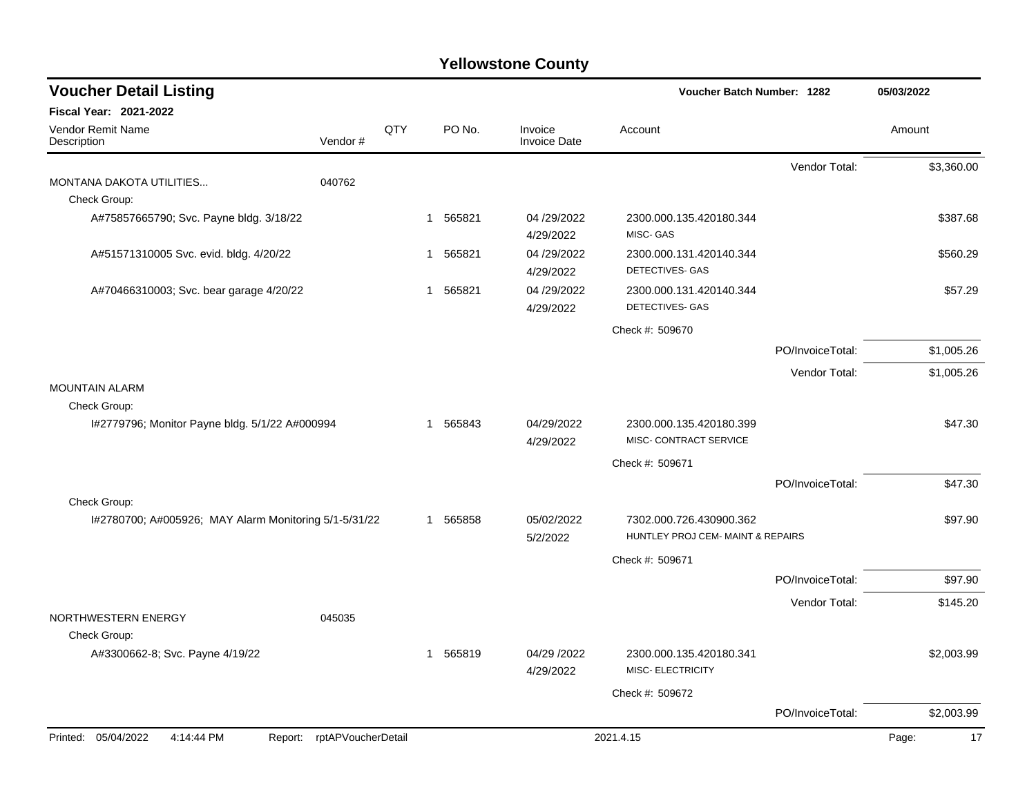| <b>Voucher Detail Listing</b>                         |                    |     |             |                                | Voucher Batch Number: 1282                                   |                  | 05/03/2022  |
|-------------------------------------------------------|--------------------|-----|-------------|--------------------------------|--------------------------------------------------------------|------------------|-------------|
| Fiscal Year: 2021-2022                                |                    |     |             |                                |                                                              |                  |             |
| Vendor Remit Name<br>Description                      | Vendor#            | QTY | PO No.      | Invoice<br><b>Invoice Date</b> | Account                                                      |                  | Amount      |
|                                                       |                    |     |             |                                |                                                              | Vendor Total:    | \$3,360.00  |
| MONTANA DAKOTA UTILITIES                              | 040762             |     |             |                                |                                                              |                  |             |
| Check Group:                                          |                    |     |             |                                |                                                              |                  |             |
| A#75857665790; Svc. Payne bldg. 3/18/22               |                    |     | 1 565821    | 04 /29/2022<br>4/29/2022       | 2300.000.135.420180.344<br>MISC-GAS                          |                  | \$387.68    |
| A#51571310005 Svc. evid. bldg. 4/20/22                |                    |     | 1 565821    | 04 /29/2022<br>4/29/2022       | 2300.000.131.420140.344<br>DETECTIVES- GAS                   |                  | \$560.29    |
| A#70466310003; Svc. bear garage 4/20/22               |                    |     | 1 565821    | 04 /29/2022                    | 2300.000.131.420140.344                                      |                  | \$57.29     |
|                                                       |                    |     |             | 4/29/2022                      | DETECTIVES- GAS                                              |                  |             |
|                                                       |                    |     |             |                                | Check #: 509670                                              |                  |             |
|                                                       |                    |     |             |                                |                                                              | PO/InvoiceTotal: | \$1,005.26  |
|                                                       |                    |     |             |                                |                                                              | Vendor Total:    | \$1,005.26  |
| <b>MOUNTAIN ALARM</b>                                 |                    |     |             |                                |                                                              |                  |             |
| Check Group:                                          |                    |     |             |                                |                                                              |                  |             |
| I#2779796; Monitor Payne bldg. 5/1/22 A#000994        |                    |     | 1 565843    | 04/29/2022<br>4/29/2022        | 2300.000.135.420180.399<br>MISC- CONTRACT SERVICE            |                  | \$47.30     |
|                                                       |                    |     |             |                                | Check #: 509671                                              |                  |             |
|                                                       |                    |     |             |                                |                                                              | PO/InvoiceTotal: | \$47.30     |
| Check Group:                                          |                    |     |             |                                |                                                              |                  |             |
| I#2780700; A#005926; MAY Alarm Monitoring 5/1-5/31/22 |                    |     | 1 565858    | 05/02/2022<br>5/2/2022         | 7302.000.726.430900.362<br>HUNTLEY PROJ CEM- MAINT & REPAIRS |                  | \$97.90     |
|                                                       |                    |     |             |                                | Check #: 509671                                              |                  |             |
|                                                       |                    |     |             |                                |                                                              | PO/InvoiceTotal: | \$97.90     |
|                                                       |                    |     |             |                                |                                                              | Vendor Total:    | \$145.20    |
| NORTHWESTERN ENERGY                                   | 045035             |     |             |                                |                                                              |                  |             |
| Check Group:                                          |                    |     |             |                                |                                                              |                  |             |
| A#3300662-8; Svc. Payne 4/19/22                       |                    |     | 565819<br>1 | 04/29 /2022<br>4/29/2022       | 2300.000.135.420180.341<br>MISC- ELECTRICITY                 |                  | \$2,003.99  |
|                                                       |                    |     |             |                                | Check #: 509672                                              |                  |             |
|                                                       |                    |     |             |                                |                                                              | PO/InvoiceTotal: | \$2,003.99  |
| Printed: 05/04/2022<br>4:14:44 PM<br>Report:          | rptAPVoucherDetail |     |             |                                | 2021.4.15                                                    |                  | 17<br>Page: |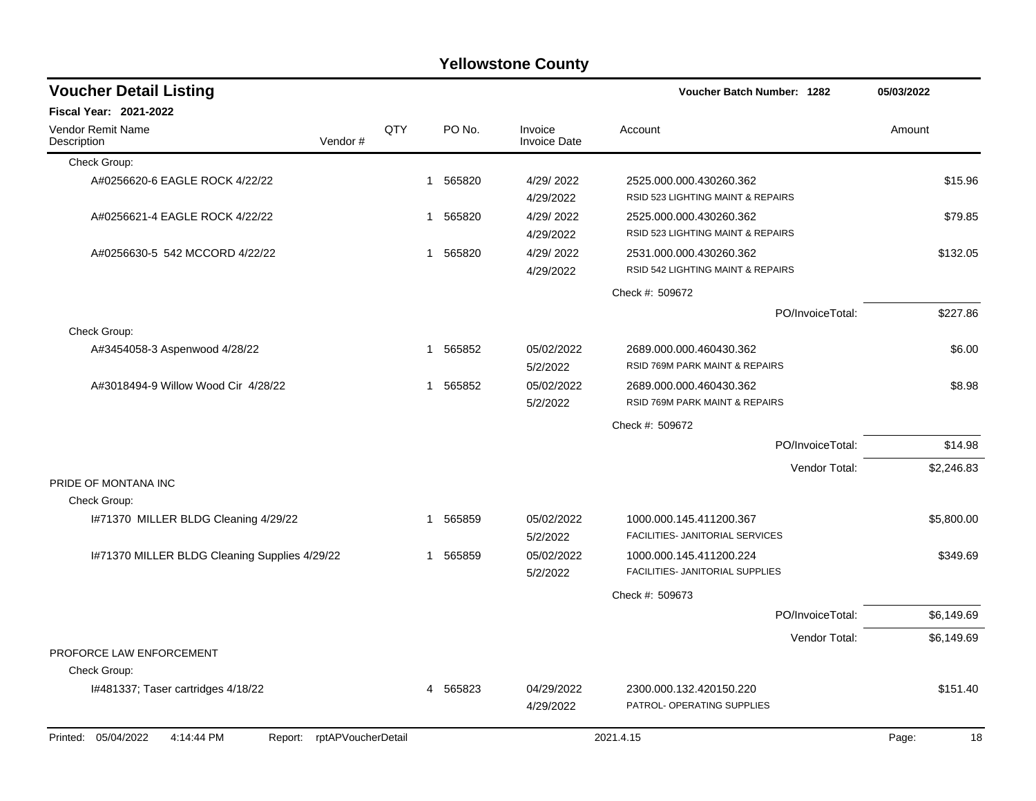|                                                                 |     |          | <b>Yellowstone County</b>      |                                                              |             |
|-----------------------------------------------------------------|-----|----------|--------------------------------|--------------------------------------------------------------|-------------|
| <b>Voucher Detail Listing</b>                                   |     |          |                                | <b>Voucher Batch Number: 1282</b>                            | 05/03/2022  |
| Fiscal Year: 2021-2022                                          |     |          |                                |                                                              |             |
| Vendor Remit Name<br>Vendor#<br>Description                     | QTY | PO No.   | Invoice<br><b>Invoice Date</b> | Account                                                      | Amount      |
| Check Group:                                                    |     |          |                                |                                                              |             |
| A#0256620-6 EAGLE ROCK 4/22/22                                  | 1   | 565820   | 4/29/2022<br>4/29/2022         | 2525.000.000.430260.362<br>RSID 523 LIGHTING MAINT & REPAIRS | \$15.96     |
| A#0256621-4 EAGLE ROCK 4/22/22                                  | 1   | 565820   | 4/29/2022<br>4/29/2022         | 2525.000.000.430260.362<br>RSID 523 LIGHTING MAINT & REPAIRS | \$79.85     |
| A#0256630-5 542 MCCORD 4/22/22                                  |     | 565820   | 4/29/2022<br>4/29/2022         | 2531.000.000.430260.362<br>RSID 542 LIGHTING MAINT & REPAIRS | \$132.05    |
|                                                                 |     |          |                                | Check #: 509672                                              |             |
|                                                                 |     |          |                                | PO/InvoiceTotal:                                             | \$227.86    |
| Check Group:                                                    |     |          |                                |                                                              |             |
| A#3454058-3 Aspenwood 4/28/22                                   | 1   | 565852   | 05/02/2022<br>5/2/2022         | 2689.000.000.460430.362<br>RSID 769M PARK MAINT & REPAIRS    | \$6.00      |
| A#3018494-9 Willow Wood Cir 4/28/22                             | 1   | 565852   | 05/02/2022<br>5/2/2022         | 2689.000.000.460430.362<br>RSID 769M PARK MAINT & REPAIRS    | \$8.98      |
|                                                                 |     |          |                                | Check #: 509672                                              |             |
|                                                                 |     |          |                                | PO/InvoiceTotal:                                             | \$14.98     |
|                                                                 |     |          |                                | Vendor Total:                                                | \$2,246.83  |
| PRIDE OF MONTANA INC                                            |     |          |                                |                                                              |             |
| Check Group:                                                    |     |          |                                |                                                              |             |
| I#71370 MILLER BLDG Cleaning 4/29/22                            | 1   | 565859   | 05/02/2022<br>5/2/2022         | 1000.000.145.411200.367<br>FACILITIES- JANITORIAL SERVICES   | \$5,800.00  |
| I#71370 MILLER BLDG Cleaning Supplies 4/29/22                   | 1   | 565859   | 05/02/2022<br>5/2/2022         | 1000.000.145.411200.224<br>FACILITIES- JANITORIAL SUPPLIES   | \$349.69    |
|                                                                 |     |          |                                | Check #: 509673                                              |             |
|                                                                 |     |          |                                | PO/InvoiceTotal:                                             | \$6,149.69  |
|                                                                 |     |          |                                | Vendor Total:                                                | \$6,149.69  |
| PROFORCE LAW ENFORCEMENT                                        |     |          |                                |                                                              |             |
| Check Group:                                                    |     |          |                                |                                                              |             |
| I#481337; Taser cartridges 4/18/22                              |     | 4 565823 | 04/29/2022<br>4/29/2022        | 2300.000.132.420150.220<br>PATROL- OPERATING SUPPLIES        | \$151.40    |
| Printed: 05/04/2022<br>4:14:44 PM<br>Report: rptAPVoucherDetail |     |          |                                | 2021.4.15                                                    | Page:<br>18 |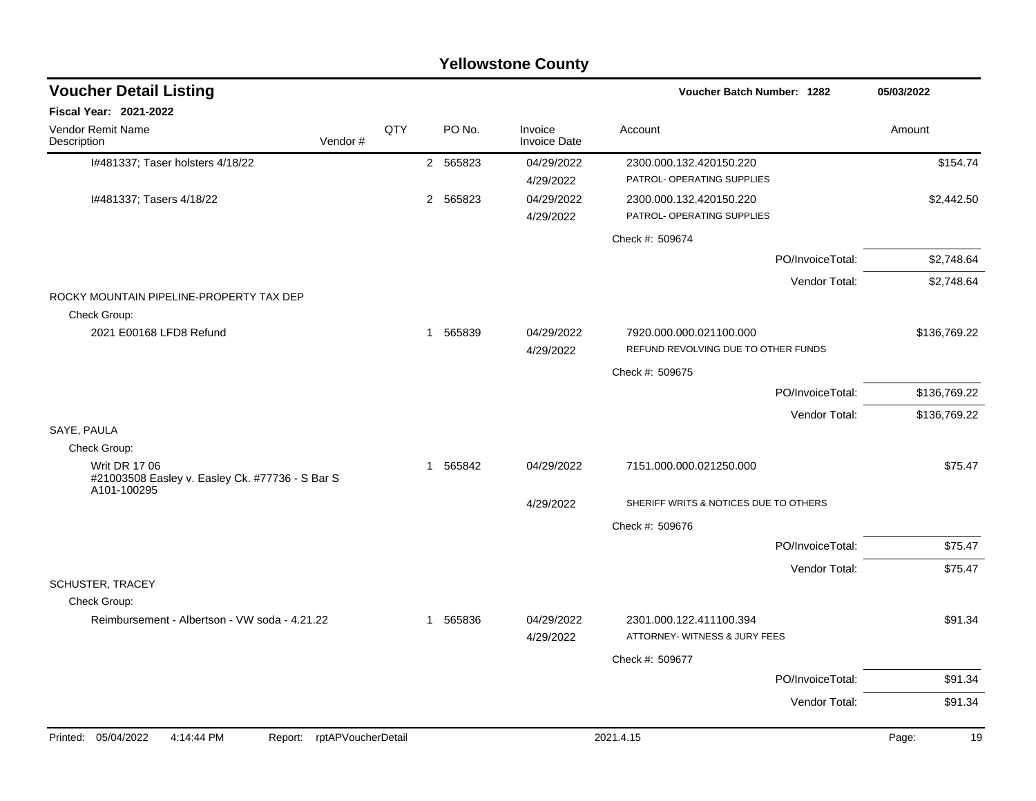| <b>Voucher Detail Listing</b>                                                          |                    |     |   |          |                                | Voucher Batch Number: 1282                                     | 05/03/2022   |
|----------------------------------------------------------------------------------------|--------------------|-----|---|----------|--------------------------------|----------------------------------------------------------------|--------------|
| <b>Fiscal Year: 2021-2022</b>                                                          |                    |     |   |          |                                |                                                                |              |
| Vendor Remit Name<br>Description                                                       | Vendor#            | QTY |   | PO No.   | Invoice<br><b>Invoice Date</b> | Account                                                        | Amount       |
| I#481337; Taser holsters 4/18/22                                                       |                    |     |   | 2 565823 | 04/29/2022<br>4/29/2022        | 2300.000.132.420150.220<br>PATROL- OPERATING SUPPLIES          | \$154.74     |
| I#481337; Tasers 4/18/22                                                               |                    |     |   | 2 565823 | 04/29/2022<br>4/29/2022        | 2300.000.132.420150.220<br>PATROL- OPERATING SUPPLIES          | \$2,442.50   |
|                                                                                        |                    |     |   |          |                                | Check #: 509674                                                |              |
|                                                                                        |                    |     |   |          |                                | PO/InvoiceTotal:                                               | \$2,748.64   |
|                                                                                        |                    |     |   |          |                                | Vendor Total:                                                  | \$2,748.64   |
| ROCKY MOUNTAIN PIPELINE-PROPERTY TAX DEP                                               |                    |     |   |          |                                |                                                                |              |
| Check Group:<br>2021 E00168 LFD8 Refund                                                |                    |     |   | 1 565839 | 04/29/2022<br>4/29/2022        | 7920.000.000.021100.000<br>REFUND REVOLVING DUE TO OTHER FUNDS | \$136,769.22 |
|                                                                                        |                    |     |   |          |                                | Check #: 509675                                                |              |
|                                                                                        |                    |     |   |          |                                | PO/InvoiceTotal:                                               | \$136,769.22 |
|                                                                                        |                    |     |   |          |                                | Vendor Total:                                                  | \$136,769.22 |
| SAYE, PAULA<br>Check Group:                                                            |                    |     |   |          |                                |                                                                |              |
| <b>Writ DR 17 06</b><br>#21003508 Easley v. Easley Ck. #77736 - S Bar S<br>A101-100295 |                    |     | 1 | 565842   | 04/29/2022                     | 7151.000.000.021250.000                                        | \$75.47      |
|                                                                                        |                    |     |   |          | 4/29/2022                      | SHERIFF WRITS & NOTICES DUE TO OTHERS                          |              |
|                                                                                        |                    |     |   |          |                                | Check #: 509676                                                |              |
|                                                                                        |                    |     |   |          |                                | PO/InvoiceTotal:                                               | \$75.47      |
|                                                                                        |                    |     |   |          |                                | Vendor Total:                                                  | \$75.47      |
| SCHUSTER, TRACEY<br>Check Group:                                                       |                    |     |   |          |                                |                                                                |              |
| Reimbursement - Albertson - VW soda - 4.21.22                                          |                    |     | 1 | 565836   | 04/29/2022<br>4/29/2022        | 2301.000.122.411100.394<br>ATTORNEY- WITNESS & JURY FEES       | \$91.34      |
|                                                                                        |                    |     |   |          |                                | Check #: 509677                                                |              |
|                                                                                        |                    |     |   |          |                                | PO/InvoiceTotal:                                               | \$91.34      |
|                                                                                        |                    |     |   |          |                                | Vendor Total:                                                  | \$91.34      |
| Printed: 05/04/2022<br>4:14:44 PM<br>Report:                                           | rptAPVoucherDetail |     |   |          |                                | 2021.4.15                                                      | Page:<br>19  |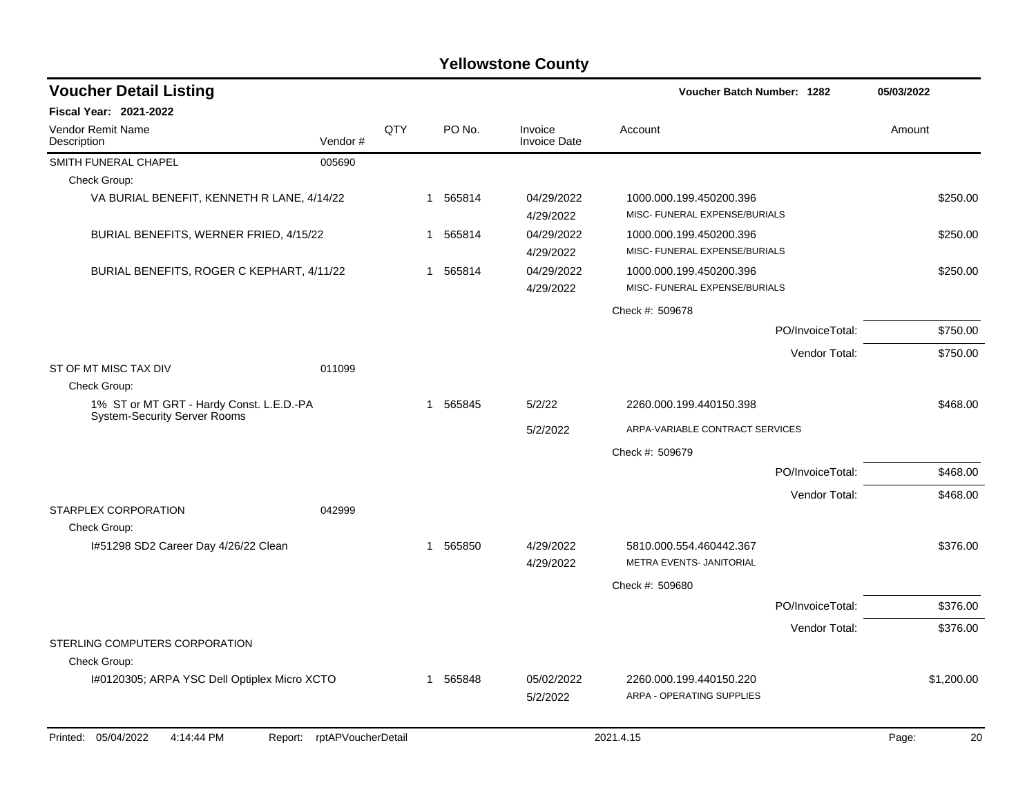| <b>Voucher Detail Listing</b>                                                   |                    |     |          |        |                                | Voucher Batch Number: 1282                               |                  | 05/03/2022 |            |
|---------------------------------------------------------------------------------|--------------------|-----|----------|--------|--------------------------------|----------------------------------------------------------|------------------|------------|------------|
| Fiscal Year: 2021-2022                                                          |                    |     |          |        |                                |                                                          |                  |            |            |
| Vendor Remit Name<br>Description                                                | Vendor#            | QTY |          | PO No. | Invoice<br><b>Invoice Date</b> | Account                                                  |                  | Amount     |            |
| SMITH FUNERAL CHAPEL                                                            | 005690             |     |          |        |                                |                                                          |                  |            |            |
| Check Group:                                                                    |                    |     |          |        |                                |                                                          |                  |            |            |
| VA BURIAL BENEFIT, KENNETH R LANE, 4/14/22                                      |                    |     | 1 565814 |        | 04/29/2022<br>4/29/2022        | 1000.000.199.450200.396<br>MISC- FUNERAL EXPENSE/BURIALS |                  |            | \$250.00   |
| BURIAL BENEFITS, WERNER FRIED, 4/15/22                                          |                    |     | 1        | 565814 | 04/29/2022<br>4/29/2022        | 1000.000.199.450200.396<br>MISC- FUNERAL EXPENSE/BURIALS |                  |            | \$250.00   |
| BURIAL BENEFITS, ROGER C KEPHART, 4/11/22                                       |                    |     | 1        | 565814 | 04/29/2022<br>4/29/2022        | 1000.000.199.450200.396<br>MISC- FUNERAL EXPENSE/BURIALS |                  |            | \$250.00   |
|                                                                                 |                    |     |          |        |                                | Check #: 509678                                          |                  |            |            |
|                                                                                 |                    |     |          |        |                                |                                                          | PO/InvoiceTotal: |            | \$750.00   |
|                                                                                 |                    |     |          |        |                                |                                                          | Vendor Total:    |            | \$750.00   |
| ST OF MT MISC TAX DIV<br>Check Group:                                           | 011099             |     |          |        |                                |                                                          |                  |            |            |
| 1% ST or MT GRT - Hardy Const. L.E.D.-PA<br><b>System-Security Server Rooms</b> |                    |     | 1 565845 |        | 5/2/22                         | 2260.000.199.440150.398                                  |                  |            | \$468.00   |
|                                                                                 |                    |     |          |        | 5/2/2022                       | ARPA-VARIABLE CONTRACT SERVICES                          |                  |            |            |
|                                                                                 |                    |     |          |        |                                | Check #: 509679                                          |                  |            |            |
|                                                                                 |                    |     |          |        |                                |                                                          | PO/InvoiceTotal: |            | \$468.00   |
|                                                                                 |                    |     |          |        |                                |                                                          | Vendor Total:    |            | \$468.00   |
| STARPLEX CORPORATION<br>Check Group:                                            | 042999             |     |          |        |                                |                                                          |                  |            |            |
| 1#51298 SD2 Career Day 4/26/22 Clean                                            |                    |     | 1        | 565850 | 4/29/2022<br>4/29/2022         | 5810.000.554.460442.367<br>METRA EVENTS- JANITORIAL      |                  |            | \$376.00   |
|                                                                                 |                    |     |          |        |                                | Check #: 509680                                          |                  |            |            |
|                                                                                 |                    |     |          |        |                                |                                                          | PO/InvoiceTotal: |            | \$376.00   |
|                                                                                 |                    |     |          |        |                                |                                                          | Vendor Total:    |            | \$376.00   |
| STERLING COMPUTERS CORPORATION<br>Check Group:                                  |                    |     |          |        |                                |                                                          |                  |            |            |
| I#0120305; ARPA YSC Dell Optiplex Micro XCTO                                    |                    |     | 1        | 565848 | 05/02/2022<br>5/2/2022         | 2260.000.199.440150.220<br>ARPA - OPERATING SUPPLIES     |                  |            | \$1,200.00 |
| Printed: 05/04/2022<br>4:14:44 PM<br>Report:                                    | rptAPVoucherDetail |     |          |        |                                | 2021.4.15                                                |                  | Page:      | 20         |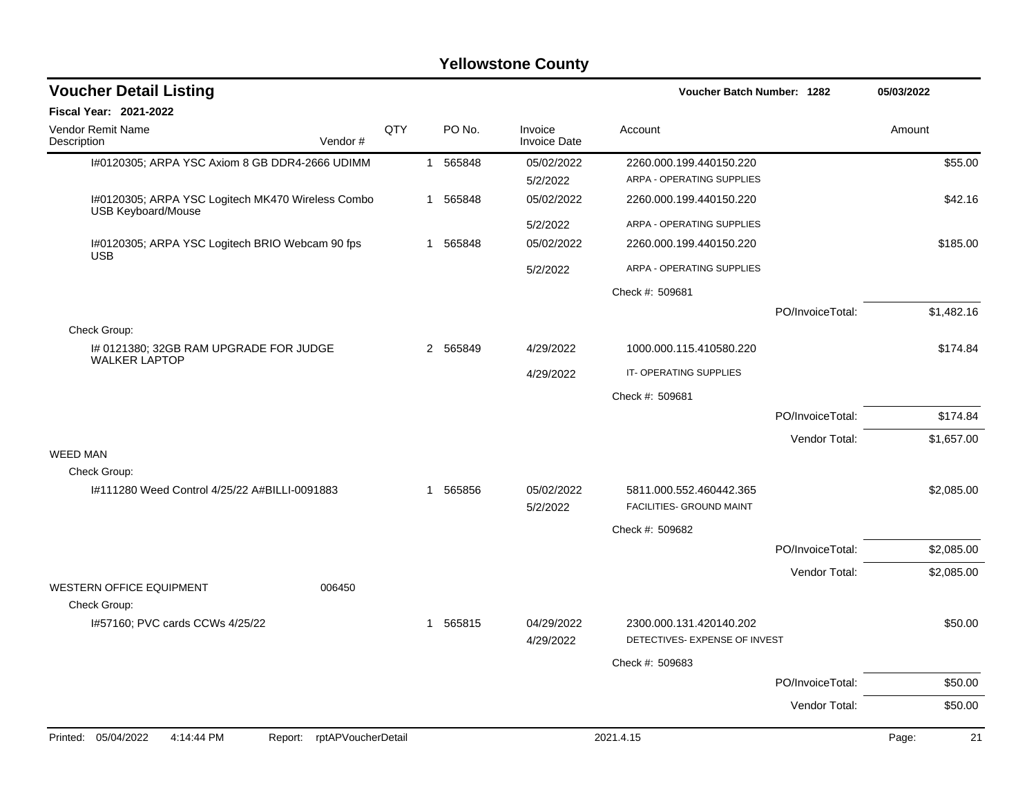| <b>Voucher Detail Listing</b>                                                  |     |   |          |                                | Voucher Batch Number: 1282                               |                  | 05/03/2022  |
|--------------------------------------------------------------------------------|-----|---|----------|--------------------------------|----------------------------------------------------------|------------------|-------------|
| Fiscal Year: 2021-2022                                                         |     |   |          |                                |                                                          |                  |             |
| Vendor Remit Name<br>Description<br>Vendor#                                    | QTY |   | PO No.   | Invoice<br><b>Invoice Date</b> | Account                                                  |                  | Amount      |
| I#0120305; ARPA YSC Axiom 8 GB DDR4-2666 UDIMM                                 |     |   | 1 565848 | 05/02/2022                     | 2260.000.199.440150.220                                  |                  | \$55.00     |
|                                                                                |     |   |          | 5/2/2022                       | ARPA - OPERATING SUPPLIES                                |                  |             |
| I#0120305; ARPA YSC Logitech MK470 Wireless Combo<br><b>USB Keyboard/Mouse</b> |     | 1 | 565848   | 05/02/2022                     | 2260.000.199.440150.220                                  |                  | \$42.16     |
|                                                                                |     |   |          | 5/2/2022                       | ARPA - OPERATING SUPPLIES                                |                  |             |
| I#0120305; ARPA YSC Logitech BRIO Webcam 90 fps<br><b>USB</b>                  |     | 1 | 565848   | 05/02/2022                     | 2260.000.199.440150.220                                  |                  | \$185.00    |
|                                                                                |     |   |          | 5/2/2022                       | ARPA - OPERATING SUPPLIES                                |                  |             |
|                                                                                |     |   |          |                                | Check #: 509681                                          |                  |             |
| Check Group:                                                                   |     |   |          |                                |                                                          | PO/InvoiceTotal: | \$1,482.16  |
| I# 0121380; 32GB RAM UPGRADE FOR JUDGE                                         |     |   | 2 565849 | 4/29/2022                      | 1000.000.115.410580.220                                  |                  | \$174.84    |
| <b>WALKER LAPTOP</b>                                                           |     |   |          | 4/29/2022                      | IT-OPERATING SUPPLIES                                    |                  |             |
|                                                                                |     |   |          |                                | Check #: 509681                                          |                  |             |
|                                                                                |     |   |          |                                |                                                          | PO/InvoiceTotal: | \$174.84    |
|                                                                                |     |   |          |                                |                                                          | Vendor Total:    | \$1,657.00  |
| <b>WEED MAN</b>                                                                |     |   |          |                                |                                                          |                  |             |
| Check Group:<br>I#111280 Weed Control 4/25/22 A#BILLI-0091883                  |     |   |          | 05/02/2022                     |                                                          |                  |             |
|                                                                                |     |   | 1 565856 | 5/2/2022                       | 5811.000.552.460442.365<br>FACILITIES- GROUND MAINT      |                  | \$2,085.00  |
|                                                                                |     |   |          |                                | Check #: 509682                                          |                  |             |
|                                                                                |     |   |          |                                |                                                          | PO/InvoiceTotal: | \$2,085.00  |
|                                                                                |     |   |          |                                |                                                          | Vendor Total:    | \$2,085.00  |
| <b>WESTERN OFFICE EQUIPMENT</b><br>006450                                      |     |   |          |                                |                                                          |                  |             |
| Check Group:                                                                   |     |   |          |                                |                                                          |                  |             |
| I#57160; PVC cards CCWs 4/25/22                                                |     |   | 1 565815 | 04/29/2022<br>4/29/2022        | 2300.000.131.420140.202<br>DETECTIVES- EXPENSE OF INVEST |                  | \$50.00     |
|                                                                                |     |   |          |                                | Check #: 509683                                          |                  |             |
|                                                                                |     |   |          |                                |                                                          | PO/InvoiceTotal: | \$50.00     |
|                                                                                |     |   |          |                                |                                                          | Vendor Total:    | \$50.00     |
| 05/04/2022<br>4:14:44 PM<br>rptAPVoucherDetail<br>Printed:<br>Report:          |     |   |          |                                | 2021.4.15                                                |                  | Page:<br>21 |